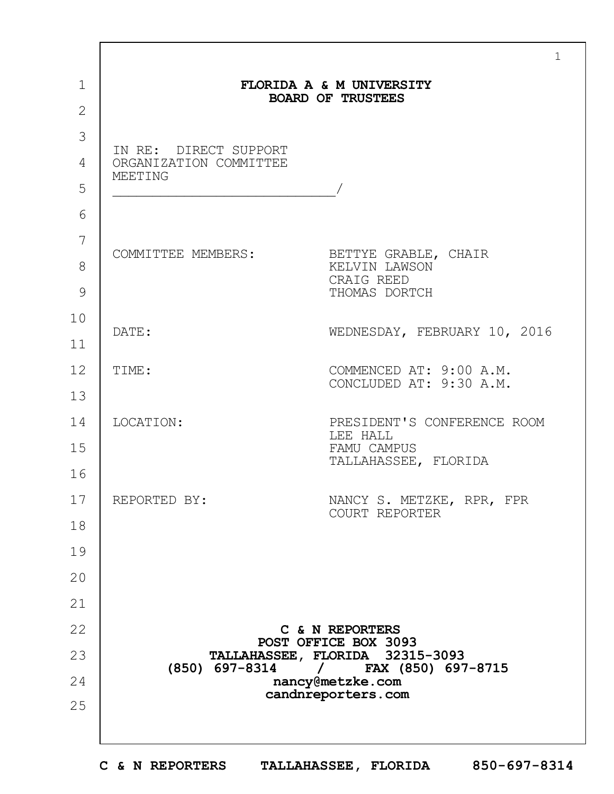|              |                                         | $\mathbf{1}$                                          |
|--------------|-----------------------------------------|-------------------------------------------------------|
| $\mathbf 1$  |                                         | FLORIDA A & M UNIVERSITY<br><b>BOARD OF TRUSTEES</b>  |
| $\mathbf{2}$ |                                         |                                                       |
| 3            | IN RE: DIRECT SUPPORT                   |                                                       |
| 4            | ORGANIZATION COMMITTEE<br>MEETING       |                                                       |
| 5            |                                         |                                                       |
| 6            |                                         |                                                       |
| 7            | COMMITTEE MEMBERS: BETTYE GRABLE, CHAIR |                                                       |
| 8            |                                         | KELVIN LAWSON<br>CRAIG REED                           |
| 9            |                                         | THOMAS DORTCH                                         |
| 10           | DATE:                                   | WEDNESDAY, FEBRUARY 10, 2016                          |
| 11           |                                         |                                                       |
| 12           | TIME:                                   | COMMENCED AT: 9:00 A.M.<br>CONCLUDED AT: 9:30 A.M.    |
| 13           |                                         |                                                       |
| 14           | LOCATION:                               | PRESIDENT'S CONFERENCE ROOM<br>LEE HALL               |
| 15           |                                         | FAMU CAMPUS<br>TALLAHASSEE, FLORIDA                   |
| 16           |                                         |                                                       |
| 17           | REPORTED BY:                            | NANCY S. METZKE, RPR, FPR<br>COURT REPORTER           |
| 18           |                                         |                                                       |
| 19           |                                         |                                                       |
| 20           |                                         |                                                       |
| 21           |                                         |                                                       |
| 22           |                                         | C & N REPORTERS<br>POST OFFICE BOX 3093               |
| 23           | (850) 697-8314                          | TALLAHASSEE, FLORIDA 32315-3093<br>FAX (850) 697-8715 |
| 24           |                                         | nancy@metzke.com<br>candnreporters.com                |
| 25           |                                         |                                                       |
|              |                                         |                                                       |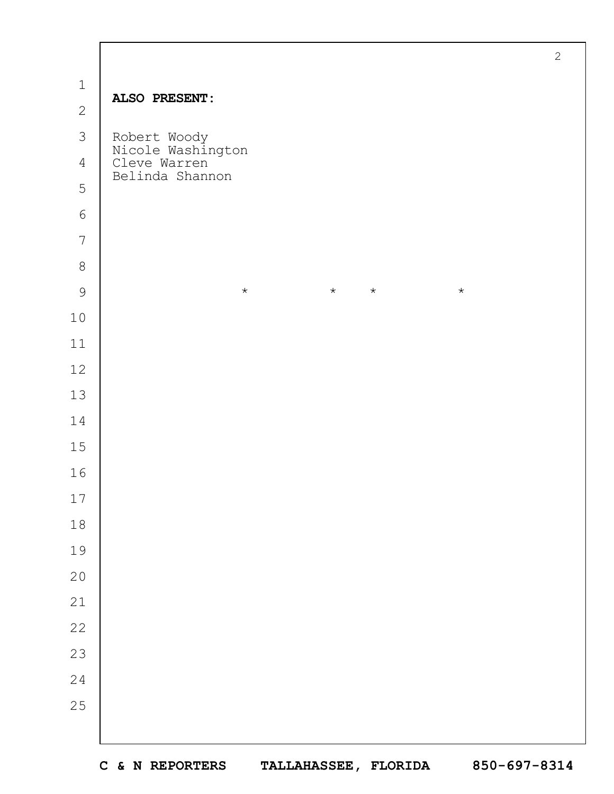|                |                                                                      | $\mathbf{2}$ |
|----------------|----------------------------------------------------------------------|--------------|
| $\mathbbm{1}$  |                                                                      |              |
| $\overline{2}$ | ALSO PRESENT:                                                        |              |
| 3              |                                                                      |              |
| $\overline{4}$ | Robert Woody<br>Nicole Washington<br>Cleve Warren<br>Belinda Shannon |              |
| 5              |                                                                      |              |
| $\sqrt{6}$     |                                                                      |              |
| $\overline{7}$ |                                                                      |              |
| $\,8\,$        |                                                                      |              |
| $\mathcal{G}$  | $\star$<br>$\star$<br>$\star$<br>$\star$                             |              |
| $10$           |                                                                      |              |
| $11$           |                                                                      |              |
| $12$           |                                                                      |              |
| 13             |                                                                      |              |
| 14             |                                                                      |              |
| 15             |                                                                      |              |
| 16             |                                                                      |              |
| $17\,$         |                                                                      |              |
| $1\,8$         |                                                                      |              |
| 19             |                                                                      |              |
| $20$           |                                                                      |              |
| 21             |                                                                      |              |
| 22             |                                                                      |              |
| 23             |                                                                      |              |
| 24             |                                                                      |              |
| 25             |                                                                      |              |
|                |                                                                      |              |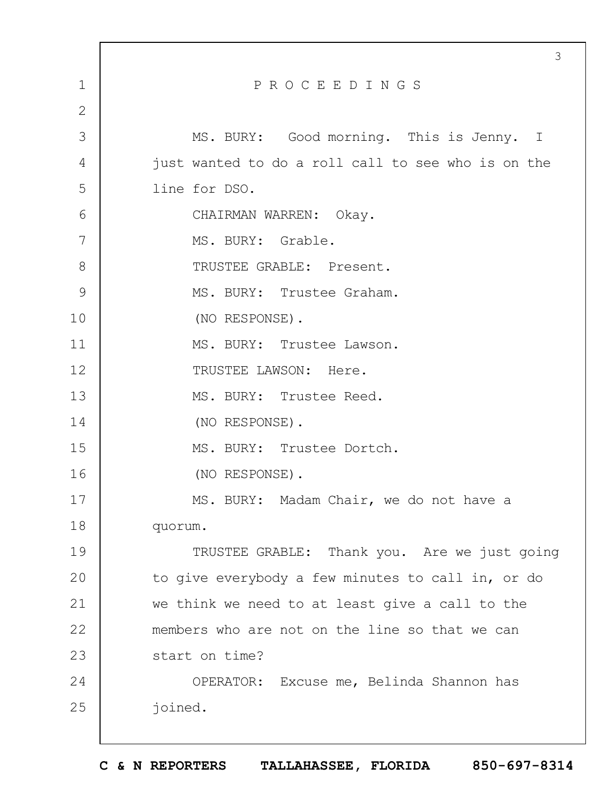|              | 3                                                  |
|--------------|----------------------------------------------------|
| $\mathbf 1$  | PROCEEDINGS                                        |
| $\mathbf{2}$ |                                                    |
| 3            | MS. BURY: Good morning. This is Jenny. I           |
| 4            | just wanted to do a roll call to see who is on the |
| 5            | line for DSO.                                      |
| 6            | CHAIRMAN WARREN: Okay.                             |
| 7            | MS. BURY: Grable.                                  |
| 8            | TRUSTEE GRABLE: Present.                           |
| 9            | MS. BURY: Trustee Graham.                          |
| 10           | (NO RESPONSE).                                     |
| 11           | MS. BURY: Trustee Lawson.                          |
| 12           | TRUSTEE LAWSON: Here.                              |
| 13           | MS. BURY: Trustee Reed.                            |
| 14           | (NO RESPONSE).                                     |
| 15           | MS. BURY: Trustee Dortch.                          |
| 16           | (NO RESPONSE).                                     |
| 17           | MS. BURY: Madam Chair, we do not have a            |
| 18           | quorum.                                            |
| 19           | TRUSTEE GRABLE: Thank you. Are we just going       |
| 20           | to give everybody a few minutes to call in, or do  |
| 21           | we think we need to at least give a call to the    |
| 22           | members who are not on the line so that we can     |
| 23           | start on time?                                     |
| 24           | OPERATOR: Excuse me, Belinda Shannon has           |
| 25           | joined.                                            |
|              |                                                    |

 $\Gamma$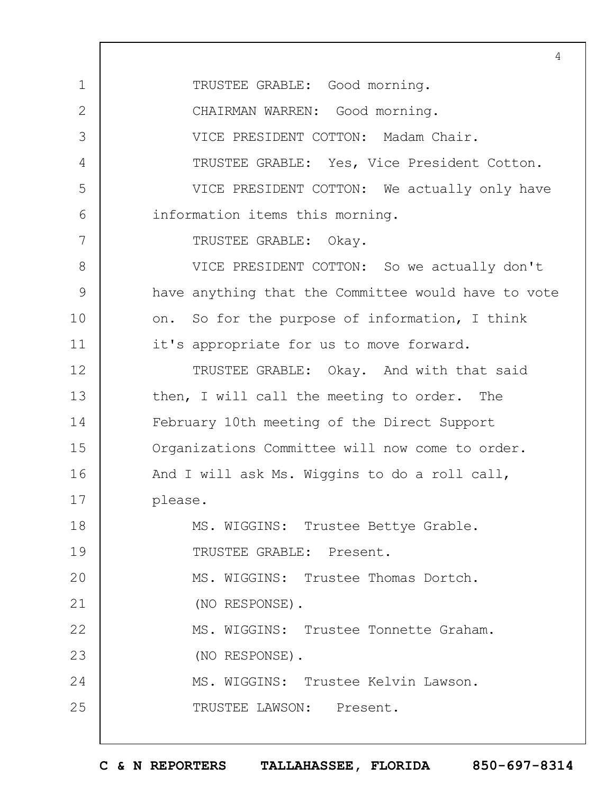1 2 3 4 5 6 7 8 9 10 11 12 13 14 15 16 17 18 19  $20$ 21 22 23 24 25 4 TRUSTEE GRABLE: Good morning. CHAIRMAN WARREN: Good morning. VICE PRESIDENT COTTON: Madam Chair. TRUSTEE GRABLE: Yes, Vice President Cotton. VICE PRESIDENT COTTON: We actually only have information items this morning. TRUSTEE GRABLE: Okay. VICE PRESIDENT COTTON: So we actually don't have anything that the Committee would have to vote on. So for the purpose of information, I think it's appropriate for us to move forward. TRUSTEE GRABLE: Okay. And with that said then, I will call the meeting to order. The February 10th meeting of the Direct Support Organizations Committee will now come to order. And I will ask Ms. Wiggins to do a roll call, please. MS. WIGGINS: Trustee Bettye Grable. TRUSTEE GRABLE: Present. MS. WIGGINS: Trustee Thomas Dortch. (NO RESPONSE). MS. WIGGINS: Trustee Tonnette Graham. (NO RESPONSE). MS. WIGGINS: Trustee Kelvin Lawson. TRUSTEE LAWSON: Present.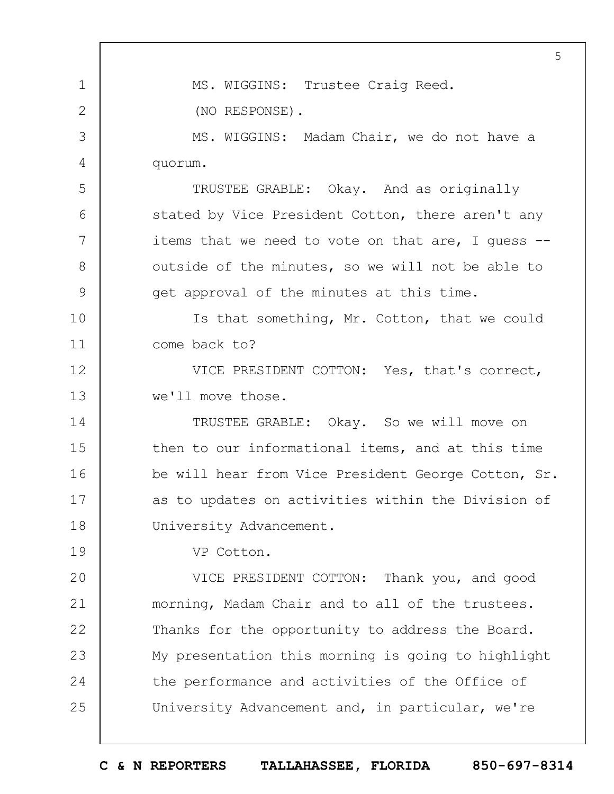1 2 3 4 5 6 7 8 9 10 11 12 13 14 15 16 17 18 19  $20$ 21 22 23 24 25 5 MS. WIGGINS: Trustee Craig Reed. (NO RESPONSE). MS. WIGGINS: Madam Chair, we do not have a quorum. TRUSTEE GRABLE: Okay. And as originally stated by Vice President Cotton, there aren't any items that we need to vote on that are, I guess - outside of the minutes, so we will not be able to get approval of the minutes at this time. Is that something, Mr. Cotton, that we could come back to? VICE PRESIDENT COTTON: Yes, that's correct, we'll move those. TRUSTEE GRABLE: Okay. So we will move on then to our informational items, and at this time be will hear from Vice President George Cotton, Sr. as to updates on activities within the Division of University Advancement. VP Cotton. VICE PRESIDENT COTTON: Thank you, and good morning, Madam Chair and to all of the trustees. Thanks for the opportunity to address the Board. My presentation this morning is going to highlight the performance and activities of the Office of University Advancement and, in particular, we're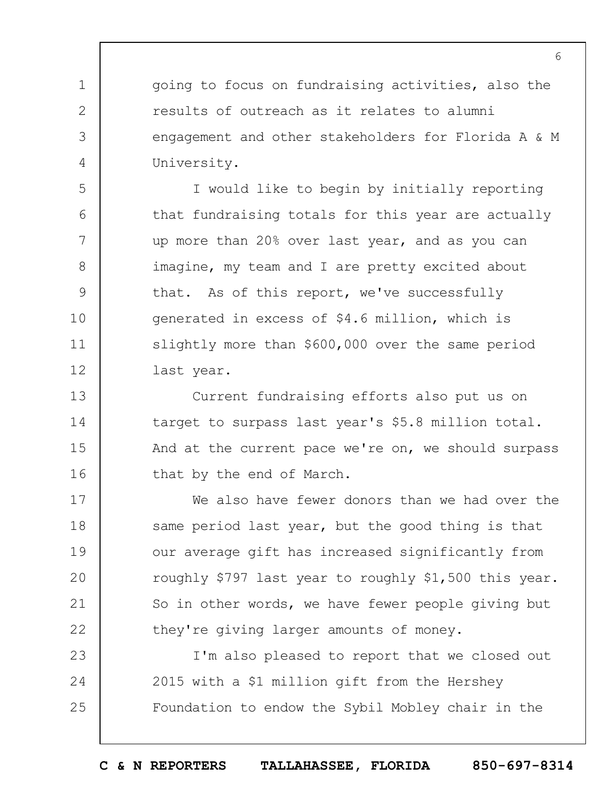going to focus on fundraising activities, also the results of outreach as it relates to alumni engagement and other stakeholders for Florida A & M University.

1

2

3

4

5

6

7

8

9

10

11

12

I would like to begin by initially reporting that fundraising totals for this year are actually up more than 20% over last year, and as you can imagine, my team and I are pretty excited about that. As of this report, we've successfully generated in excess of \$4.6 million, which is slightly more than \$600,000 over the same period last year.

13 14 15 16 Current fundraising efforts also put us on target to surpass last year's \$5.8 million total. And at the current pace we're on, we should surpass that by the end of March.

17 18 19  $20$ 21 22 We also have fewer donors than we had over the same period last year, but the good thing is that our average gift has increased significantly from roughly \$797 last year to roughly \$1,500 this year. So in other words, we have fewer people giving but they're giving larger amounts of money.

23 24 25 I'm also pleased to report that we closed out 2015 with a \$1 million gift from the Hershey Foundation to endow the Sybil Mobley chair in the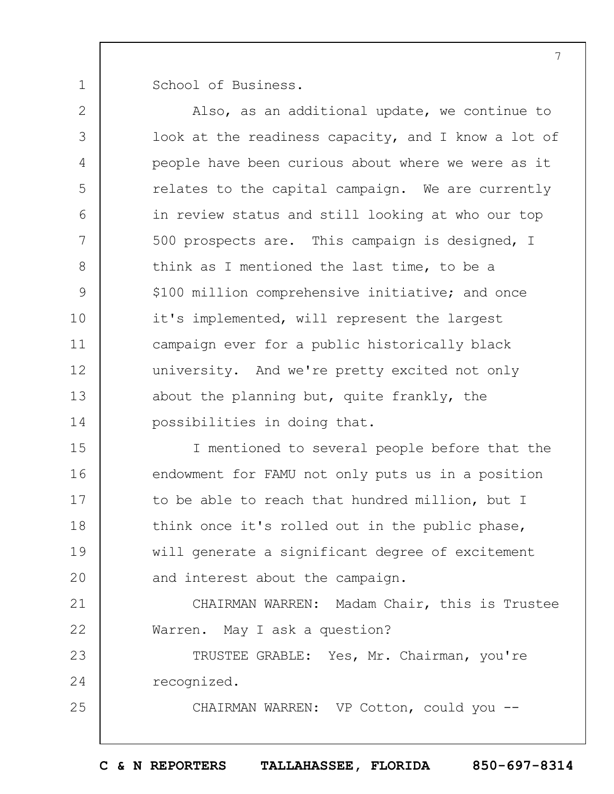1 School of Business.

2 3 4 5 6 7 8 9 10 11 12 13 14 15 16 Also, as an additional update, we continue to look at the readiness capacity, and I know a lot of people have been curious about where we were as it relates to the capital campaign. We are currently in review status and still looking at who our top 500 prospects are. This campaign is designed, I think as I mentioned the last time, to be a \$100 million comprehensive initiative; and once it's implemented, will represent the largest campaign ever for a public historically black university. And we're pretty excited not only about the planning but, quite frankly, the possibilities in doing that. I mentioned to several people before that the endowment for FAMU not only puts us in a position

17 18 19  $20$ to be able to reach that hundred million, but I think once it's rolled out in the public phase, will generate a significant degree of excitement and interest about the campaign.

21 22 CHAIRMAN WARREN: Madam Chair, this is Trustee Warren. May I ask a question?

23 24 TRUSTEE GRABLE: Yes, Mr. Chairman, you're recognized.

25

CHAIRMAN WARREN: VP Cotton, could you --

**C & N REPORTERS TALLAHASSEE, FLORIDA 850-697-8314**

7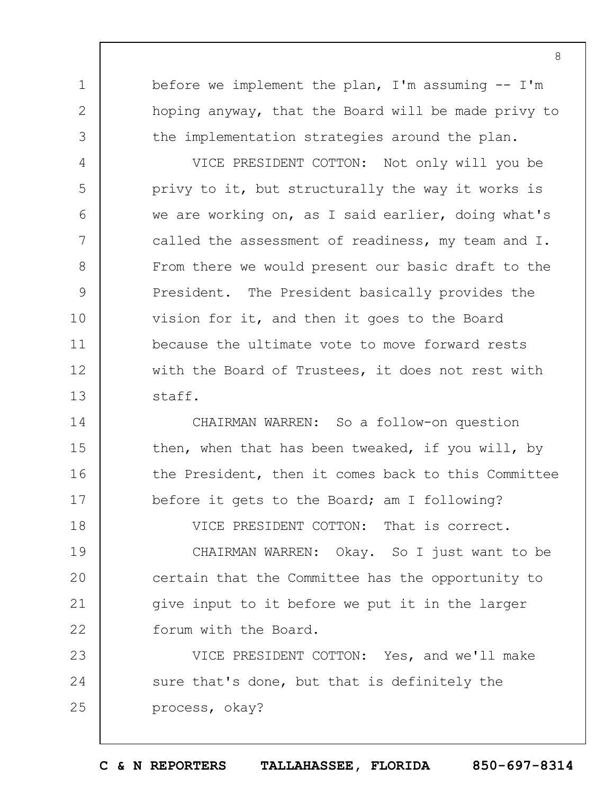before we implement the plan,  $I'm$  assuming  $-I'm$ hoping anyway, that the Board will be made privy to the implementation strategies around the plan.

1

2

3

4

5

6

7

8

9

10

11

12

13

14

15

16

17

18

VICE PRESIDENT COTTON: Not only will you be privy to it, but structurally the way it works is we are working on, as I said earlier, doing what's called the assessment of readiness, my team and I. From there we would present our basic draft to the President. The President basically provides the vision for it, and then it goes to the Board because the ultimate vote to move forward rests with the Board of Trustees, it does not rest with staff.

CHAIRMAN WARREN: So a follow-on question then, when that has been tweaked, if you will, by the President, then it comes back to this Committee before it gets to the Board; am I following?

VICE PRESIDENT COTTON: That is correct.

19  $20$ 21 22 CHAIRMAN WARREN: Okay. So I just want to be certain that the Committee has the opportunity to give input to it before we put it in the larger forum with the Board.

23 24 25 VICE PRESIDENT COTTON: Yes, and we'll make sure that's done, but that is definitely the process, okay?

8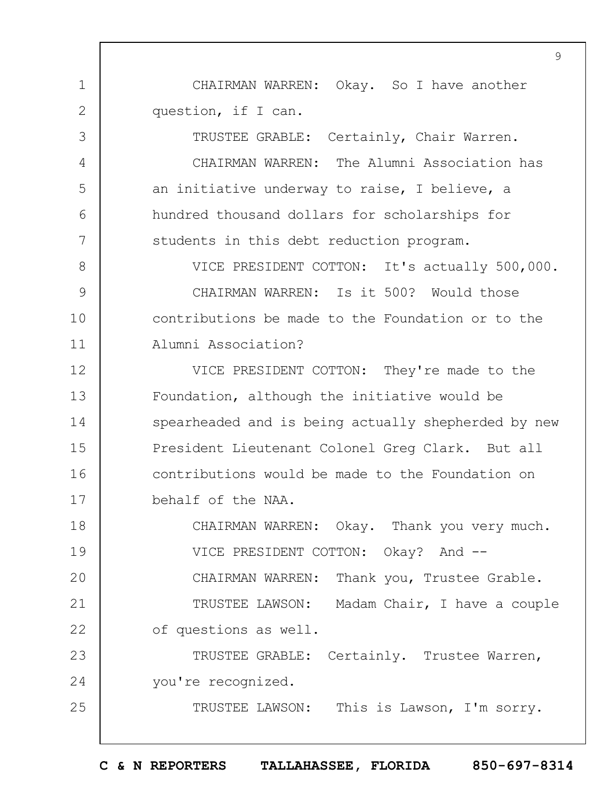CHAIRMAN WARREN: Okay. So I have another question, if I can.

1

2

3

4

5

6

7

25

TRUSTEE GRABLE: Certainly, Chair Warren. CHAIRMAN WARREN: The Alumni Association has an initiative underway to raise, I believe, a hundred thousand dollars for scholarships for students in this debt reduction program.

8 9 10 11 VICE PRESIDENT COTTON: It's actually 500,000. CHAIRMAN WARREN: Is it 500? Would those contributions be made to the Foundation or to the Alumni Association?

12 13 14 15 16 17 VICE PRESIDENT COTTON: They're made to the Foundation, although the initiative would be spearheaded and is being actually shepherded by new President Lieutenant Colonel Greg Clark. But all contributions would be made to the Foundation on behalf of the NAA.

18 19  $20$ 21 22 23 CHAIRMAN WARREN: Okay. Thank you very much. VICE PRESIDENT COTTON: Okay? And --CHAIRMAN WARREN: Thank you, Trustee Grable. TRUSTEE LAWSON: Madam Chair, I have a couple of questions as well. TRUSTEE GRABLE: Certainly. Trustee Warren,

24 you're recognized.

TRUSTEE LAWSON: This is Lawson, I'm sorry.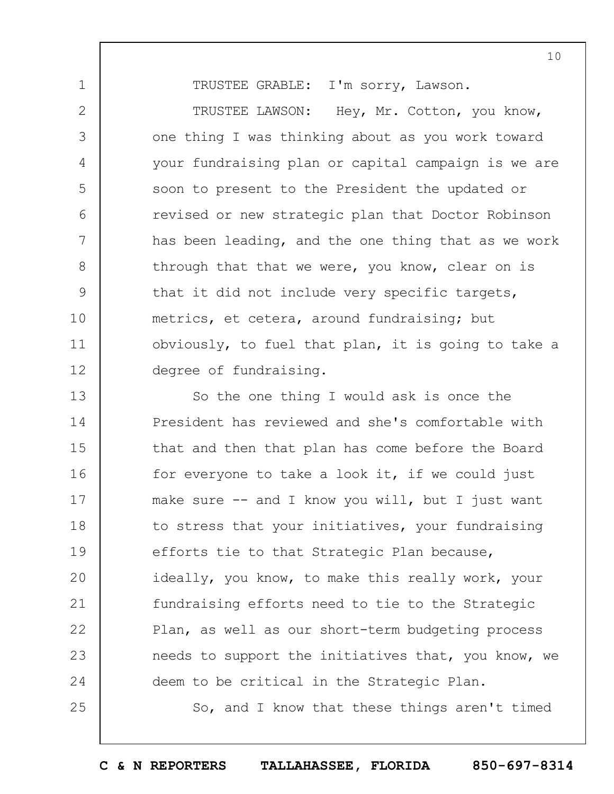TRUSTEE GRABLE: I'm sorry, Lawson.

1

2

3

4

5

6

7

8

9

10

11

12

25

TRUSTEE LAWSON: Hey, Mr. Cotton, you know, one thing I was thinking about as you work toward your fundraising plan or capital campaign is we are soon to present to the President the updated or revised or new strategic plan that Doctor Robinson has been leading, and the one thing that as we work through that that we were, you know, clear on is that it did not include very specific targets, metrics, et cetera, around fundraising; but obviously, to fuel that plan, it is going to take a degree of fundraising.

13 14 15 16 17 18 19  $20$ 21 22 23 24 So the one thing I would ask is once the President has reviewed and she's comfortable with that and then that plan has come before the Board for everyone to take a look it, if we could just make sure  $-$  and I know you will, but I just want to stress that your initiatives, your fundraising efforts tie to that Strategic Plan because, ideally, you know, to make this really work, your fundraising efforts need to tie to the Strategic Plan, as well as our short-term budgeting process needs to support the initiatives that, you know, we deem to be critical in the Strategic Plan.

So, and I know that these things aren't timed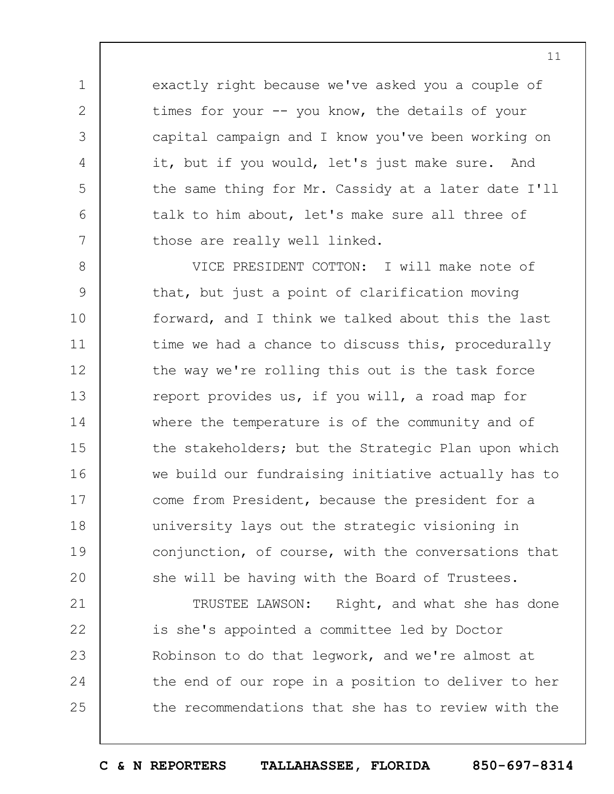exactly right because we've asked you a couple of times for your -- you know, the details of your capital campaign and I know you've been working on it, but if you would, let's just make sure. And the same thing for Mr. Cassidy at a later date I'll talk to him about, let's make sure all three of those are really well linked.

1

2

3

4

5

6

7

8 9 10 11 12 13 14 15 16 17 18 19  $20$ VICE PRESIDENT COTTON: I will make note of that, but just a point of clarification moving forward, and I think we talked about this the last time we had a chance to discuss this, procedurally the way we're rolling this out is the task force report provides us, if you will, a road map for where the temperature is of the community and of the stakeholders; but the Strategic Plan upon which we build our fundraising initiative actually has to come from President, because the president for a university lays out the strategic visioning in conjunction, of course, with the conversations that she will be having with the Board of Trustees.

21 22 23 24 25 TRUSTEE LAWSON: Right, and what she has done is she's appointed a committee led by Doctor Robinson to do that legwork, and we're almost at the end of our rope in a position to deliver to her the recommendations that she has to review with the

11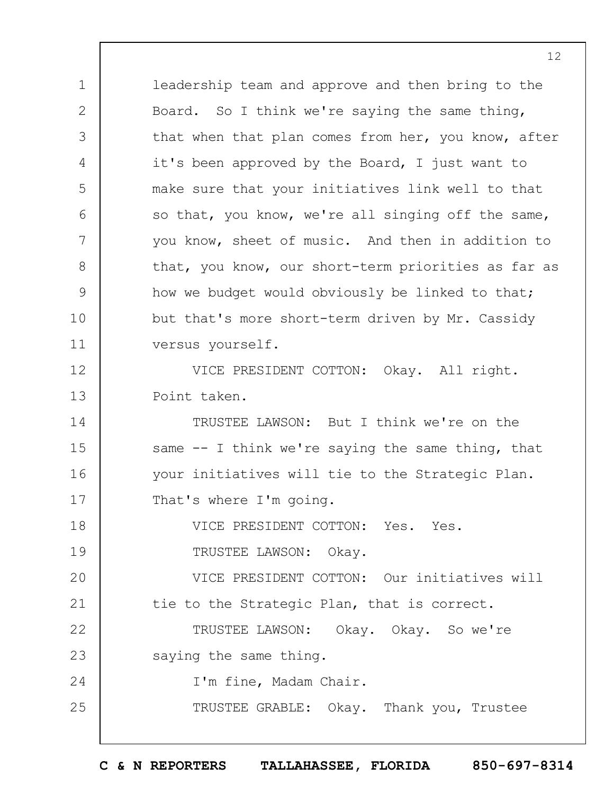leadership team and approve and then bring to the Board. So I think we're saying the same thing, that when that plan comes from her, you know, after it's been approved by the Board, I just want to make sure that your initiatives link well to that so that, you know, we're all singing off the same, you know, sheet of music. And then in addition to that, you know, our short-term priorities as far as how we budget would obviously be linked to that; but that's more short-term driven by Mr. Cassidy versus yourself. VICE PRESIDENT COTTON: Okay. All right. Point taken. TRUSTEE LAWSON: But I think we're on the

14 15 16 17 same -- I think we're saying the same thing, that your initiatives will tie to the Strategic Plan. That's where I'm going.

18 19 VICE PRESIDENT COTTON: Yes. Yes. TRUSTEE LAWSON: Okay.

 $20$ 21 VICE PRESIDENT COTTON: Our initiatives will tie to the Strategic Plan, that is correct.

22 23 TRUSTEE LAWSON: Okay. Okay. So we're saying the same thing.

I'm fine, Madam Chair.

1

2

3

4

5

6

7

8

9

10

11

12

13

24

25

TRUSTEE GRABLE: Okay. Thank you, Trustee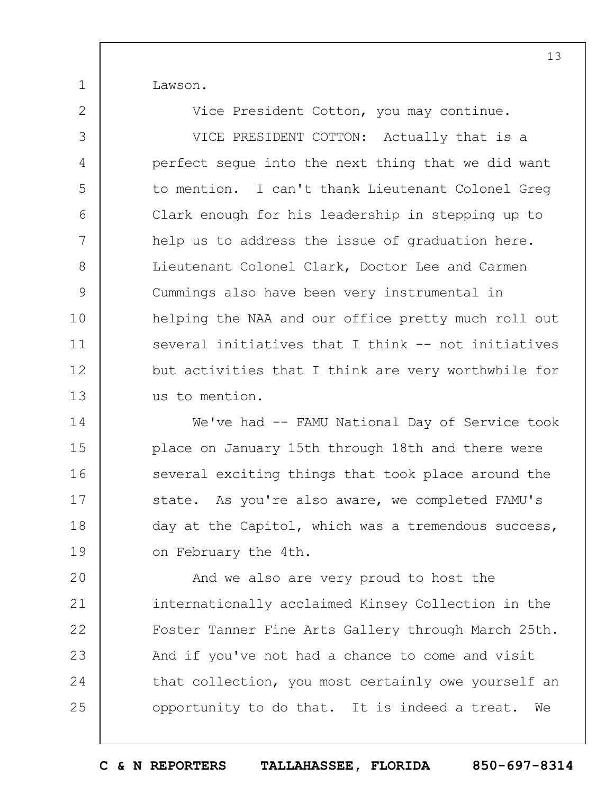Lawson.

1

2

Vice President Cotton, you may continue.

3 4 5 6 7 8 9 10 11 12 13 VICE PRESIDENT COTTON: Actually that is a perfect segue into the next thing that we did want to mention. I can't thank Lieutenant Colonel Greg Clark enough for his leadership in stepping up to help us to address the issue of graduation here. Lieutenant Colonel Clark, Doctor Lee and Carmen Cummings also have been very instrumental in helping the NAA and our office pretty much roll out several initiatives that I think -- not initiatives but activities that I think are very worthwhile for us to mention.

14 15 16 17 18 19 We've had -- FAMU National Day of Service took place on January 15th through 18th and there were several exciting things that took place around the state. As you're also aware, we completed FAMU's day at the Capitol, which was a tremendous success, on February the 4th.

 $20$ 21 22 23 24 25 And we also are very proud to host the internationally acclaimed Kinsey Collection in the Foster Tanner Fine Arts Gallery through March 25th. And if you've not had a chance to come and visit that collection, you most certainly owe yourself an opportunity to do that. It is indeed a treat. We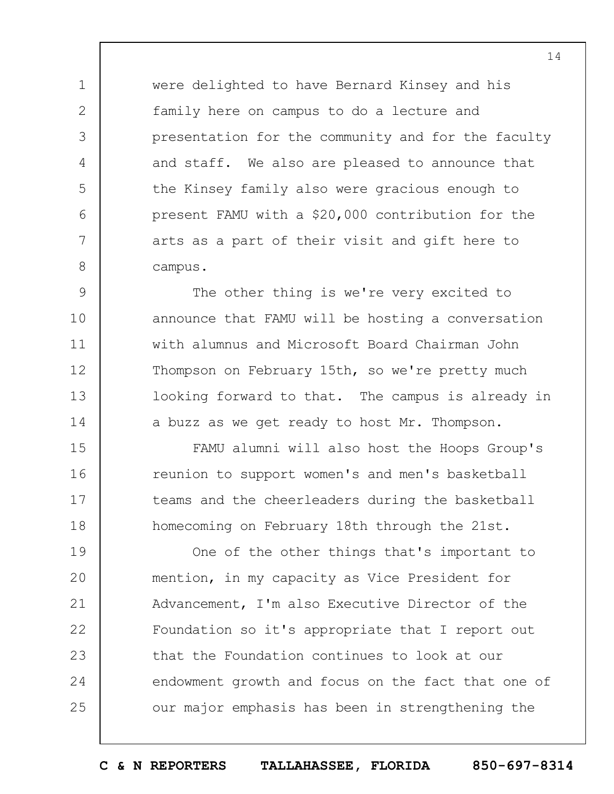were delighted to have Bernard Kinsey and his family here on campus to do a lecture and presentation for the community and for the faculty and staff. We also are pleased to announce that the Kinsey family also were gracious enough to present FAMU with a \$20,000 contribution for the arts as a part of their visit and gift here to campus.

1

2

3

4

5

6

7

8

9 10 11 12 13 14 The other thing is we're very excited to announce that FAMU will be hosting a conversation with alumnus and Microsoft Board Chairman John Thompson on February 15th, so we're pretty much looking forward to that. The campus is already in a buzz as we get ready to host Mr. Thompson.

15 16 17 18 FAMU alumni will also host the Hoops Group's reunion to support women's and men's basketball teams and the cheerleaders during the basketball homecoming on February 18th through the 21st.

19  $20$ 21 22 23 24 25 One of the other things that's important to mention, in my capacity as Vice President for Advancement, I'm also Executive Director of the Foundation so it's appropriate that I report out that the Foundation continues to look at our endowment growth and focus on the fact that one of our major emphasis has been in strengthening the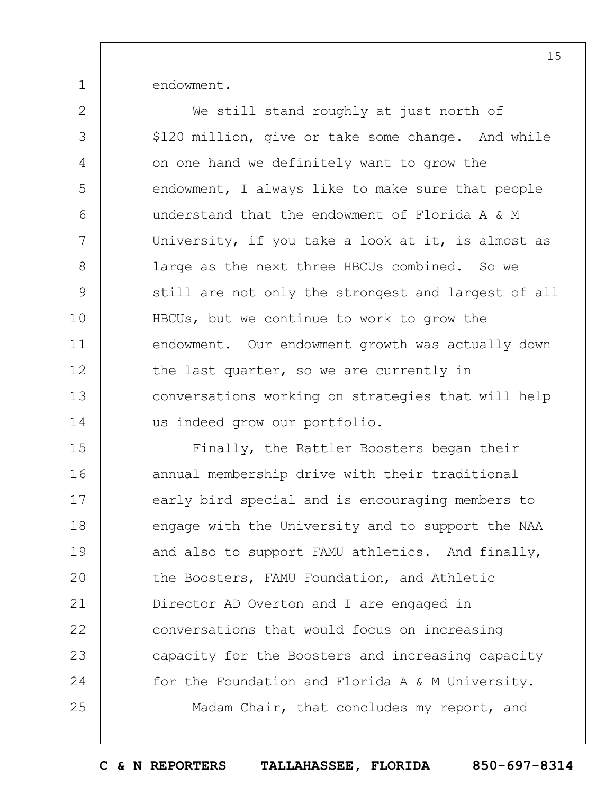endowment.

1

2 3 4 5 6 7 8 9 10 11 12 13 14 We still stand roughly at just north of \$120 million, give or take some change. And while on one hand we definitely want to grow the endowment, I always like to make sure that people understand that the endowment of Florida A & M University, if you take a look at it, is almost as large as the next three HBCUs combined. So we still are not only the strongest and largest of all HBCUs, but we continue to work to grow the endowment. Our endowment growth was actually down the last quarter, so we are currently in conversations working on strategies that will help us indeed grow our portfolio.

15 16 17 18 19  $20$ 21 22 23 24 25 Finally, the Rattler Boosters began their annual membership drive with their traditional early bird special and is encouraging members to engage with the University and to support the NAA and also to support FAMU athletics. And finally, the Boosters, FAMU Foundation, and Athletic Director AD Overton and I are engaged in conversations that would focus on increasing capacity for the Boosters and increasing capacity for the Foundation and Florida A & M University. Madam Chair, that concludes my report, and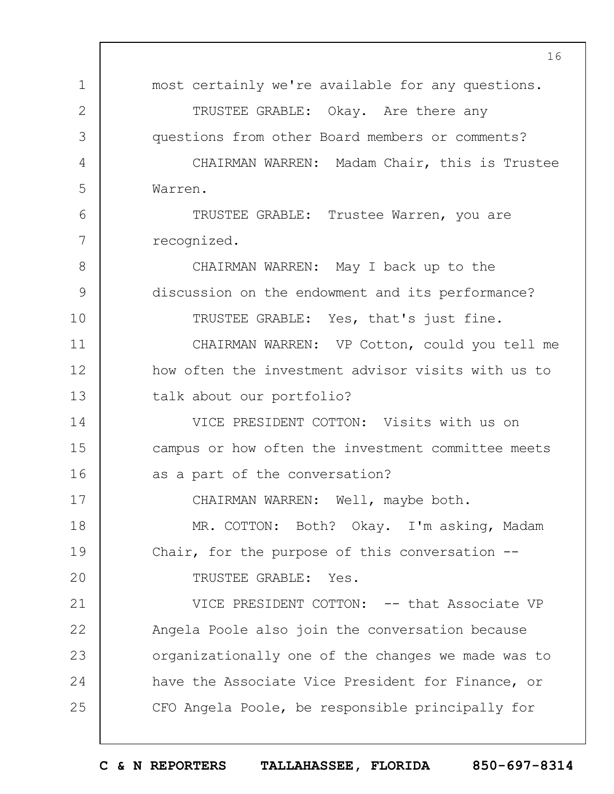1 2 3 4 5 6 7 8 9 10 11 12 13 14 15 16 17 18 19  $20$ 21 22 23 24 25 16 most certainly we're available for any questions. TRUSTEE GRABLE: Okay. Are there any questions from other Board members or comments? CHAIRMAN WARREN: Madam Chair, this is Trustee Warren. TRUSTEE GRABLE: Trustee Warren, you are recognized. CHAIRMAN WARREN: May I back up to the discussion on the endowment and its performance? TRUSTEE GRABLE: Yes, that's just fine. CHAIRMAN WARREN: VP Cotton, could you tell me how often the investment advisor visits with us to talk about our portfolio? VICE PRESIDENT COTTON: Visits with us on campus or how often the investment committee meets as a part of the conversation? CHAIRMAN WARREN: Well, maybe both. MR. COTTON: Both? Okay. I'm asking, Madam Chair, for the purpose of this conversation -- TRUSTEE GRABLE: Yes. VICE PRESIDENT COTTON: -- that Associate VP Angela Poole also join the conversation because organizationally one of the changes we made was to have the Associate Vice President for Finance, or CFO Angela Poole, be responsible principally for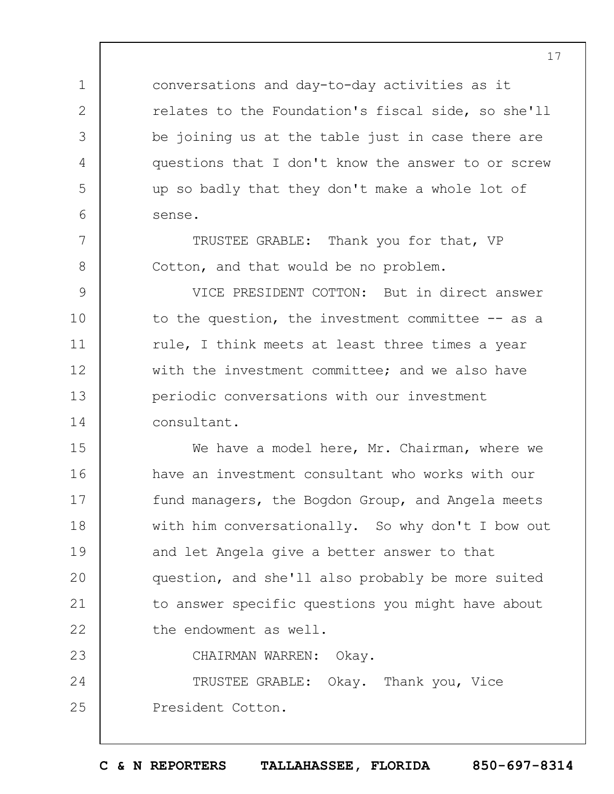conversations and day-to-day activities as it relates to the Foundation's fiscal side, so she'll be joining us at the table just in case there are questions that I don't know the answer to or screw up so badly that they don't make a whole lot of sense.

TRUSTEE GRABLE: Thank you for that, VP Cotton, and that would be no problem.

1

2

3

4

5

6

7

8

23

9 10 11 12 13 14 VICE PRESIDENT COTTON: But in direct answer to the question, the investment committee -- as a rule, I think meets at least three times a year with the investment committee; and we also have periodic conversations with our investment consultant.

15 16 17 18 19  $20$ 21 22 We have a model here, Mr. Chairman, where we have an investment consultant who works with our fund managers, the Bogdon Group, and Angela meets with him conversationally. So why don't I bow out and let Angela give a better answer to that question, and she'll also probably be more suited to answer specific questions you might have about the endowment as well.

CHAIRMAN WARREN: Okay.

24 25 TRUSTEE GRABLE: Okay. Thank you, Vice President Cotton.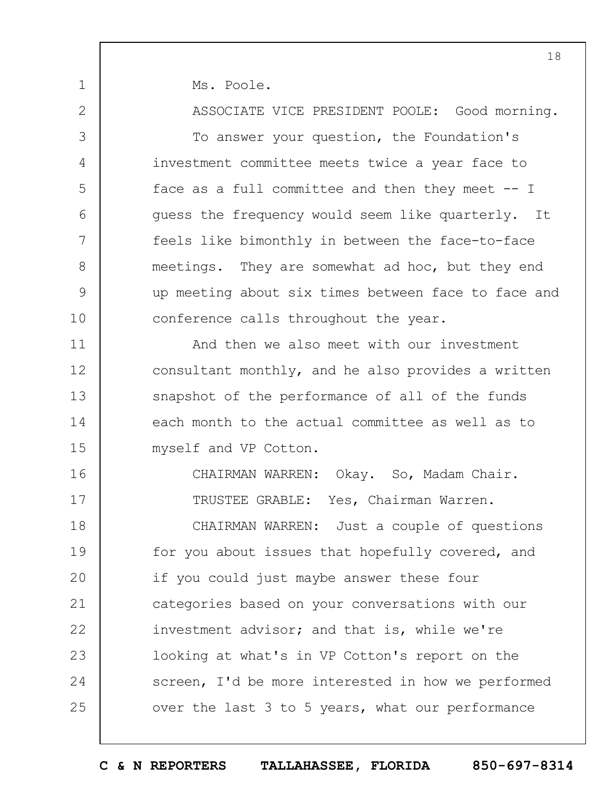Ms. Poole.

1

2

3

4

5

6

7

8

9

10

11

12

13

14

15

16

17

ASSOCIATE VICE PRESIDENT POOLE: Good morning.

To answer your question, the Foundation's investment committee meets twice a year face to face as a full committee and then they meet  $-1$ guess the frequency would seem like quarterly. It feels like bimonthly in between the face-to-face meetings. They are somewhat ad hoc, but they end up meeting about six times between face to face and conference calls throughout the year.

And then we also meet with our investment consultant monthly, and he also provides a written snapshot of the performance of all of the funds each month to the actual committee as well as to myself and VP Cotton.

CHAIRMAN WARREN: Okay. So, Madam Chair. TRUSTEE GRABLE: Yes, Chairman Warren.

18 19  $20$ 21 22 23 24 25 CHAIRMAN WARREN: Just a couple of questions for you about issues that hopefully covered, and if you could just maybe answer these four categories based on your conversations with our investment advisor; and that is, while we're looking at what's in VP Cotton's report on the screen, I'd be more interested in how we performed over the last 3 to 5 years, what our performance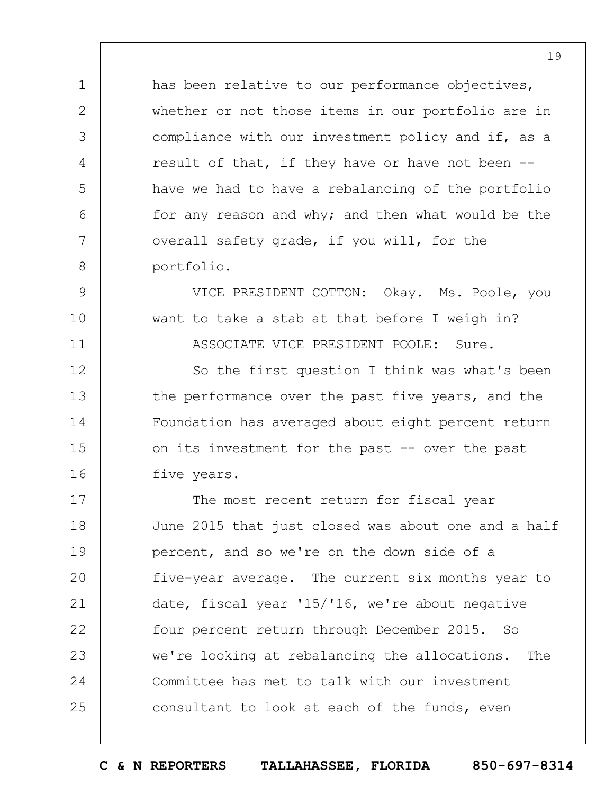has been relative to our performance objectives, whether or not those items in our portfolio are in compliance with our investment policy and if, as a result of that, if they have or have not been - have we had to have a rebalancing of the portfolio for any reason and why; and then what would be the overall safety grade, if you will, for the portfolio.

1

2

3

4

5

6

7

8

9

10

11

12

13

14

15

16

VICE PRESIDENT COTTON: Okay. Ms. Poole, you want to take a stab at that before I weigh in? ASSOCIATE VICE PRESIDENT POOLE: Sure.

So the first question I think was what's been the performance over the past five years, and the Foundation has averaged about eight percent return on its investment for the past -- over the past five years.

17 18 19  $20$ 21 22 23 24 25 The most recent return for fiscal year June 2015 that just closed was about one and a half percent, and so we're on the down side of a five-year average. The current six months year to date, fiscal year '15/'16, we're about negative four percent return through December 2015. So we're looking at rebalancing the allocations. The Committee has met to talk with our investment consultant to look at each of the funds, even

19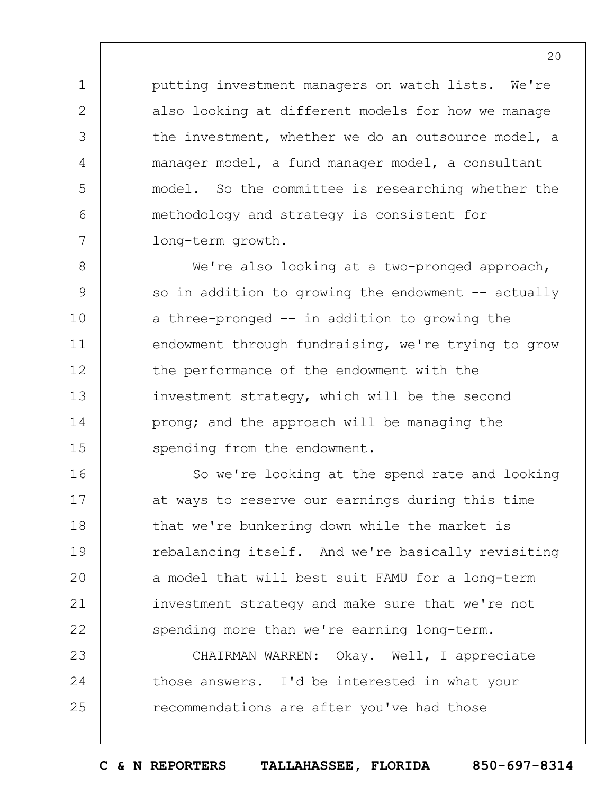putting investment managers on watch lists. We're also looking at different models for how we manage the investment, whether we do an outsource model, a manager model, a fund manager model, a consultant model. So the committee is researching whether the methodology and strategy is consistent for long-term growth.

1

2

3

4

5

6

7

8 9 10 11 12 13 14 15 We're also looking at a two-pronged approach, so in addition to growing the endowment  $-$  actually a three-pronged -- in addition to growing the endowment through fundraising, we're trying to grow the performance of the endowment with the investment strategy, which will be the second prong; and the approach will be managing the spending from the endowment.

16 17 18 19  $20$ 21 22 So we're looking at the spend rate and looking at ways to reserve our earnings during this time that we're bunkering down while the market is rebalancing itself. And we're basically revisiting a model that will best suit FAMU for a long-term investment strategy and make sure that we're not spending more than we're earning long-term.

23 24 25 CHAIRMAN WARREN: Okay. Well, I appreciate those answers. I'd be interested in what your recommendations are after you've had those

 $20$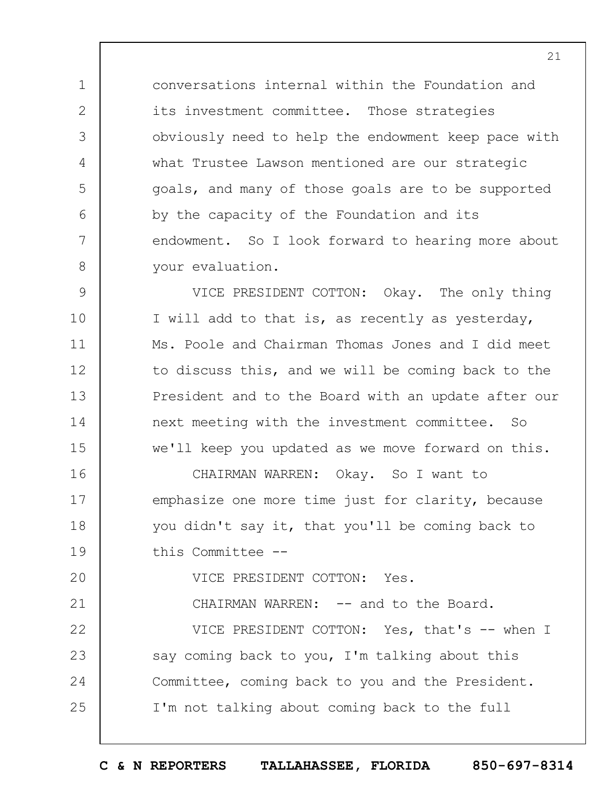conversations internal within the Foundation and its investment committee. Those strategies obviously need to help the endowment keep pace with what Trustee Lawson mentioned are our strategic goals, and many of those goals are to be supported by the capacity of the Foundation and its endowment. So I look forward to hearing more about your evaluation.

9 10 11 12 13 14 15 16 17 VICE PRESIDENT COTTON: Okay. The only thing I will add to that is, as recently as yesterday, Ms. Poole and Chairman Thomas Jones and I did meet to discuss this, and we will be coming back to the President and to the Board with an update after our next meeting with the investment committee. So we'll keep you updated as we move forward on this. CHAIRMAN WARREN: Okay. So I want to emphasize one more time just for clarity, because

18 19 you didn't say it, that you'll be coming back to this Committee --

 $20$ VICE PRESIDENT COTTON: Yes.

1

2

3

4

5

6

7

8

24

25

21 22 23 CHAIRMAN WARREN: -- and to the Board. VICE PRESIDENT COTTON: Yes, that's -- when I say coming back to you, I'm talking about this

Committee, coming back to you and the President.

I'm not talking about coming back to the full

21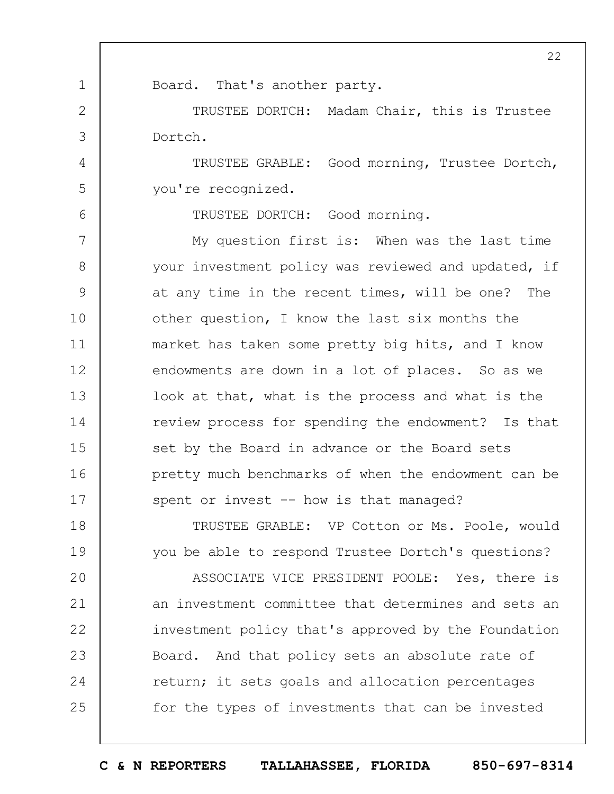1 2 3 4 5 6 7 8 9 10 11 12 13 14 15 16 17 18 19  $20$ 21 22 23 24 25 22 Board. That's another party. TRUSTEE DORTCH: Madam Chair, this is Trustee Dortch. TRUSTEE GRABLE: Good morning, Trustee Dortch, you're recognized. TRUSTEE DORTCH: Good morning. My question first is: When was the last time your investment policy was reviewed and updated, if at any time in the recent times, will be one? The other question, I know the last six months the market has taken some pretty big hits, and I know endowments are down in a lot of places. So as we look at that, what is the process and what is the review process for spending the endowment? Is that set by the Board in advance or the Board sets pretty much benchmarks of when the endowment can be spent or invest -- how is that managed? TRUSTEE GRABLE: VP Cotton or Ms. Poole, would you be able to respond Trustee Dortch's questions? ASSOCIATE VICE PRESIDENT POOLE: Yes, there is an investment committee that determines and sets an investment policy that's approved by the Foundation Board. And that policy sets an absolute rate of return; it sets goals and allocation percentages for the types of investments that can be invested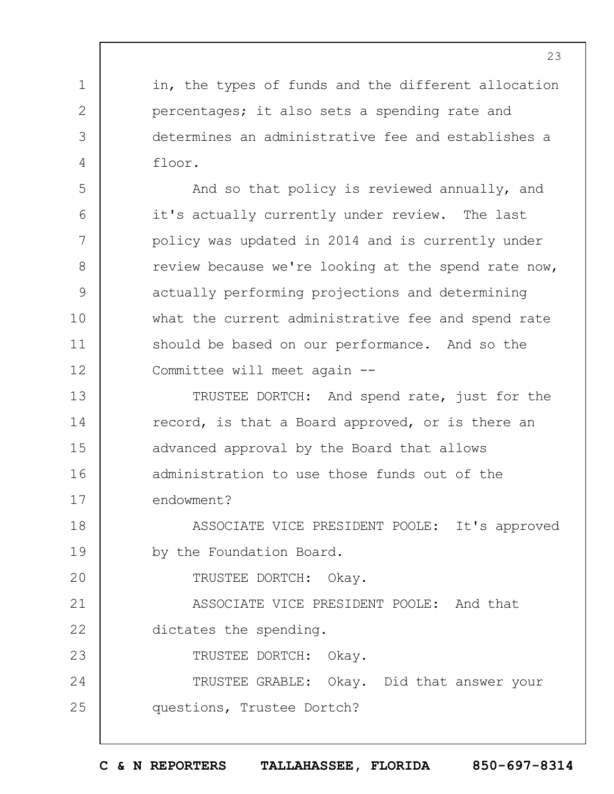in, the types of funds and the different allocation percentages; it also sets a spending rate and determines an administrative fee and establishes a floor.

And so that policy is reviewed annually, and it's actually currently under review. The last policy was updated in 2014 and is currently under review because we're looking at the spend rate now, actually performing projections and determining what the current administrative fee and spend rate should be based on our performance. And so the Committee will meet again --

13 14 15 16 17 TRUSTEE DORTCH: And spend rate, just for the record, is that a Board approved, or is there an advanced approval by the Board that allows administration to use those funds out of the endowment?

18 19 ASSOCIATE VICE PRESIDENT POOLE: It's approved by the Foundation Board.

TRUSTEE DORTCH: Okay.

1

2

3

4

5

6

7

8

9

10

11

12

 $20$ 

23

21 22 ASSOCIATE VICE PRESIDENT POOLE: And that dictates the spending.

TRUSTEE DORTCH: Okay.

24 25 TRUSTEE GRABLE: Okay. Did that answer your questions, Trustee Dortch?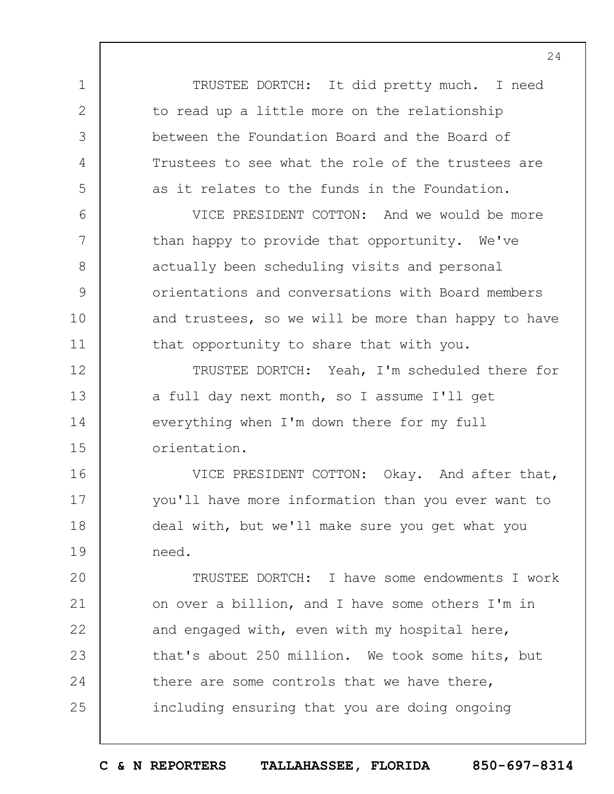TRUSTEE DORTCH: It did pretty much. I need to read up a little more on the relationship between the Foundation Board and the Board of Trustees to see what the role of the trustees are as it relates to the funds in the Foundation.

1

2

3

4

5

6

7

8

9

10

11

VICE PRESIDENT COTTON: And we would be more than happy to provide that opportunity. We've actually been scheduling visits and personal orientations and conversations with Board members and trustees, so we will be more than happy to have that opportunity to share that with you.

12 13 14 15 TRUSTEE DORTCH: Yeah, I'm scheduled there for a full day next month, so I assume I'll get everything when I'm down there for my full orientation.

16 17 18 19 VICE PRESIDENT COTTON: Okay. And after that, you'll have more information than you ever want to deal with, but we'll make sure you get what you need.

 $20$ 21 22 23 24 25 TRUSTEE DORTCH: I have some endowments I work on over a billion, and I have some others I'm in and engaged with, even with my hospital here, that's about 250 million. We took some hits, but there are some controls that we have there, including ensuring that you are doing ongoing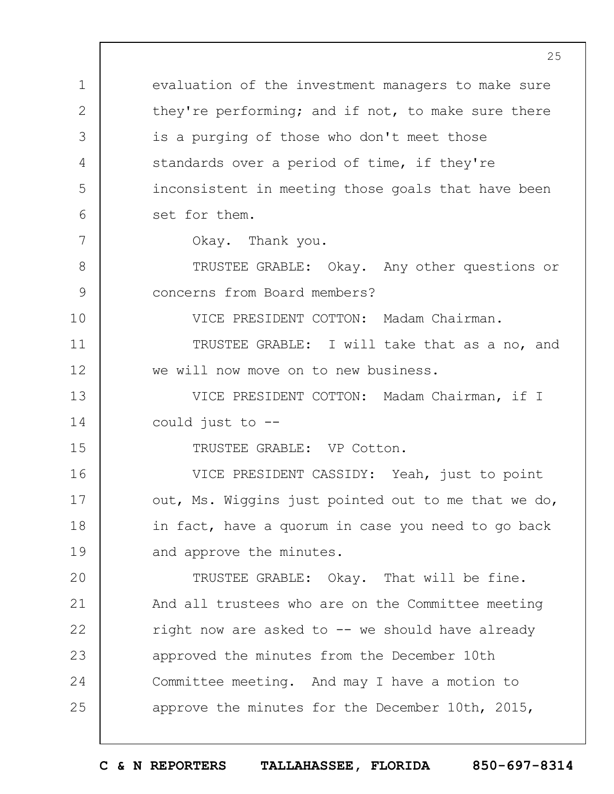1 2 3 4 5 6 7 8 9 10 11 12 13 14 15 16 17 18 19  $20$ 21 22 23 24 25 evaluation of the investment managers to make sure they're performing; and if not, to make sure there is a purging of those who don't meet those standards over a period of time, if they're inconsistent in meeting those goals that have been set for them. Okay. Thank you. TRUSTEE GRABLE: Okay. Any other questions or concerns from Board members? VICE PRESIDENT COTTON: Madam Chairman. TRUSTEE GRABLE: I will take that as a no, and we will now move on to new business. VICE PRESIDENT COTTON: Madam Chairman, if I could just to -- TRUSTEE GRABLE: VP Cotton. VICE PRESIDENT CASSIDY: Yeah, just to point out, Ms. Wiggins just pointed out to me that we do, in fact, have a quorum in case you need to go back and approve the minutes. TRUSTEE GRABLE: Okay. That will be fine. And all trustees who are on the Committee meeting right now are asked to  $--$  we should have already approved the minutes from the December 10th Committee meeting. And may I have a motion to approve the minutes for the December 10th, 2015,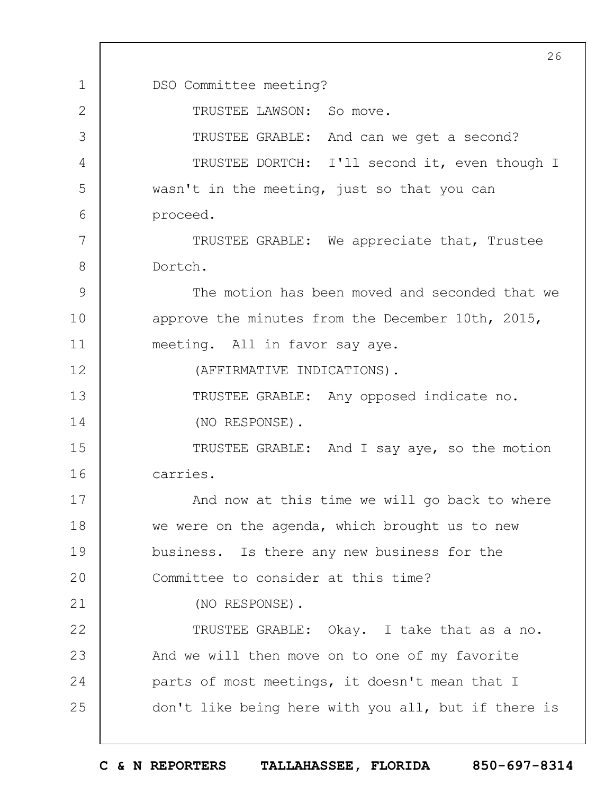1 2 3 4 5 6 7 8 9 10 11 12 13 14 15 16 17 18 19  $20$ 21 22 23 24 25 26 DSO Committee meeting? TRUSTEE LAWSON: So move. TRUSTEE GRABLE: And can we get a second? TRUSTEE DORTCH: I'll second it, even though I wasn't in the meeting, just so that you can proceed. TRUSTEE GRABLE: We appreciate that, Trustee Dortch. The motion has been moved and seconded that we approve the minutes from the December 10th, 2015, meeting. All in favor say aye. (AFFIRMATIVE INDICATIONS). TRUSTEE GRABLE: Any opposed indicate no. (NO RESPONSE). TRUSTEE GRABLE: And I say aye, so the motion carries. And now at this time we will go back to where we were on the agenda, which brought us to new business. Is there any new business for the Committee to consider at this time? (NO RESPONSE). TRUSTEE GRABLE: Okay. I take that as a no. And we will then move on to one of my favorite parts of most meetings, it doesn't mean that I don't like being here with you all, but if there is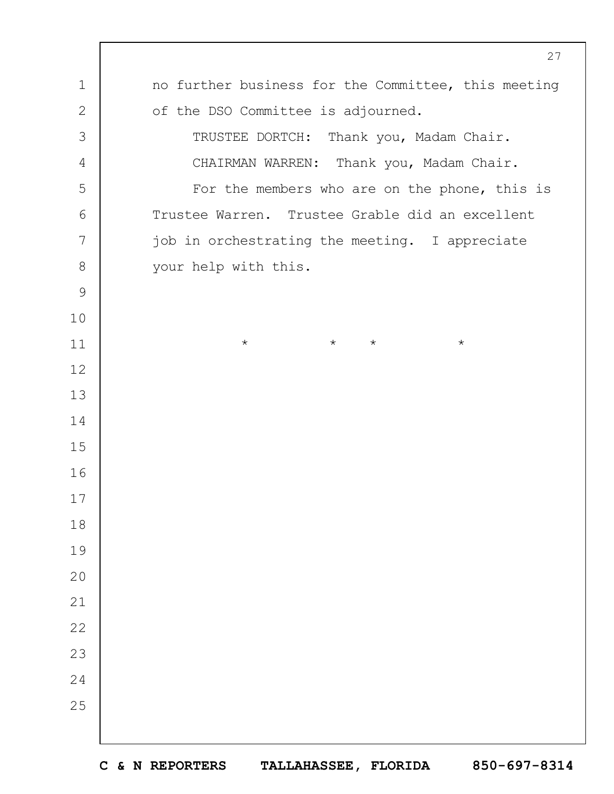|              | 27                                                  |
|--------------|-----------------------------------------------------|
| $\mathbf 1$  | no further business for the Committee, this meeting |
| $\mathbf{2}$ | of the DSO Committee is adjourned.                  |
| 3            | TRUSTEE DORTCH: Thank you, Madam Chair.             |
| 4            | CHAIRMAN WARREN: Thank you, Madam Chair.            |
| 5            | For the members who are on the phone, this is       |
| 6            | Trustee Warren. Trustee Grable did an excellent     |
| 7            | job in orchestrating the meeting. I appreciate      |
| $8\,$        | your help with this.                                |
| $\mathsf 9$  |                                                     |
| 10           |                                                     |
| 11           | $\star$<br>$\star$<br>$\star$<br>$\star$            |
| 12           |                                                     |
| 13           |                                                     |
| 14           |                                                     |
| 15           |                                                     |
| 16           |                                                     |
| 17           |                                                     |
| 18           |                                                     |
| 19           |                                                     |
| 20           |                                                     |
| 21           |                                                     |
| 22           |                                                     |
| 23           |                                                     |
| 24           |                                                     |
| 25           |                                                     |
|              |                                                     |
|              |                                                     |

 $\mathbf{I}$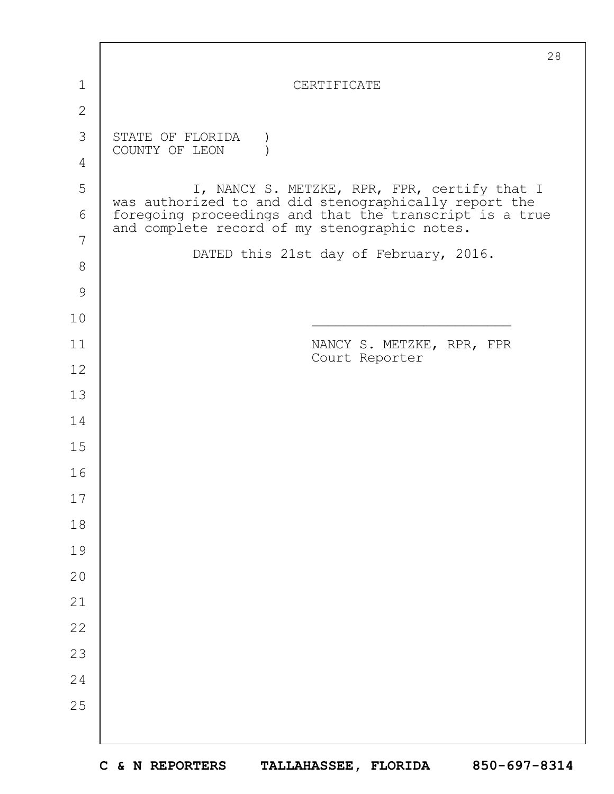|               | 28                                                                                                       |
|---------------|----------------------------------------------------------------------------------------------------------|
| $\mathbf 1$   | CERTIFICATE                                                                                              |
| $\mathbf{2}$  |                                                                                                          |
| 3             | STATE OF FLORIDA<br>COUNTY OF LEON                                                                       |
| 4             |                                                                                                          |
| 5             | I, NANCY S. METZKE, RPR, FPR, certify that I<br>was authorized to and did stenographically report the    |
| 6             | foregoing proceedings and that the transcript is a true<br>and complete record of my stenographic notes. |
| 7             | DATED this 21st day of February, 2016.                                                                   |
| 8             |                                                                                                          |
| $\mathcal{G}$ |                                                                                                          |
| 10            |                                                                                                          |
| 11            | NANCY S. METZKE, RPR, FPR<br>Court Reporter                                                              |
| 12            |                                                                                                          |
| 13            |                                                                                                          |
| 14            |                                                                                                          |
| 15            |                                                                                                          |
| 16            |                                                                                                          |
| 17            |                                                                                                          |
| 18            |                                                                                                          |
| 19            |                                                                                                          |
| 20            |                                                                                                          |
| 21            |                                                                                                          |
| 22            |                                                                                                          |
| 23            |                                                                                                          |
| 24            |                                                                                                          |
| 25            |                                                                                                          |
|               |                                                                                                          |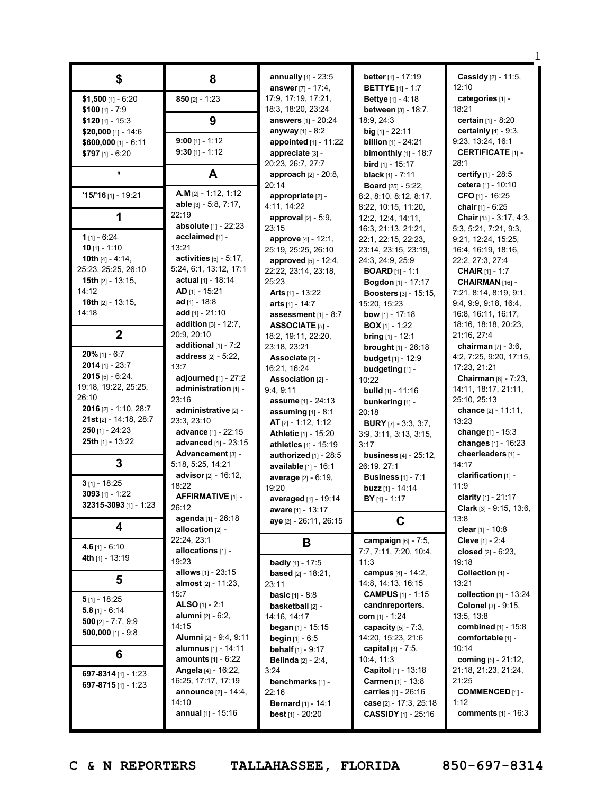|                                            |                                           | annually [1] - 23:5           | better [1] - 17:19            | Cassidy [2] - 11:5,                      |
|--------------------------------------------|-------------------------------------------|-------------------------------|-------------------------------|------------------------------------------|
| \$                                         | 8                                         | answer $[7] - 17:4$ ,         | <b>BETTYE</b> [1] - 1:7       | 12:10                                    |
| $$1,500$ [1] - 6:20                        | $850$ [2] - 1:23                          | 17:9, 17:19, 17:21,           | <b>Bettye</b> $[1] - 4:18$    | categories [1] -                         |
| $$100$ [1] - 7:9                           |                                           | 18:3, 18:20, 23:24            | between [3] - 18:7,           | 18:21                                    |
| $$120$ [1] - 15:3                          | 9                                         | <b>answers</b> $[1] - 20:24$  | 18:9, 24:3                    | certain [1] - 8:20                       |
| \$20,000 [1] - 14:6                        |                                           | anyway $[1] - 8:2$            | <b>big</b> $[1]$ - 22:11      | certainly $[4] - 9:3$ ,                  |
| $$600,000$ [1] - 6:11                      | $9:00$ [1] - 1:12                         | appointed [1] - 11:22         | <b>billion</b> $[1]$ - 24:21  | 9:23, 13:24, 16:1                        |
| \$797 [1] - 6:20                           | $9:30$ [1] - 1:12                         | appreciate [3] -              | <b>bimonthly</b> $[1]$ - 18:7 | <b>CERTIFICATE</b> [1] -                 |
|                                            |                                           | 20:23, 26:7, 27:7             | <b>bird</b> $[1]$ - 15:17     | 28:1                                     |
|                                            | A                                         | approach $[2] - 20:8$ ,       | <b>black</b> $[1] - 7:11$     | certify $[1] - 28:5$                     |
|                                            |                                           | 20:14                         | <b>Board</b> [25] - 5:22,     | cetera [1] - 10:10                       |
| $'15/16$ [1] - 19:21                       | $A.M$ [2] - 1:12, 1:12                    | appropriate [2] -             | 8:2, 8:10, 8:12, 8:17,        | CFO $[1]$ - 16:25                        |
|                                            | able $[3] - 5:8, 7:17,$                   | 4:11, 14:22                   | 8:22, 10:15, 11:20,           | chair $[1] - 6:25$                       |
| 1                                          | 22:19                                     | <b>approval</b> $[2] - 5:9$ , | 12:2, 12:4, 14:11,            | <b>Chair</b> [15] - $3:17, 4:3$ ,        |
|                                            | absolute [1] - 22:23                      | 23:15                         | 16:3, 21:13, 21:21,           | 5:3, 5:21, 7:21, 9:3,                    |
| 1 $[1] - 6:24$                             | acclaimed [1] -                           | approve [4] - 12:1,           | 22:1, 22:15, 22:23,           | 9:21, 12:24, 15:25,                      |
| $10$ [1] - 1:10                            | 13:21                                     | 25:19, 25:25, 26:10           | 23:14, 23:15, 23:19,          | 16:4, 16:19, 18:16,                      |
| 10th $[4] - 4:14$ ,                        | activities $[5]$ - 5:17,                  | approved [5] - 12:4,          | 24:3, 24:9, 25:9              | 22:2, 27:3, 27:4                         |
| 25:23, 25:25, 26:10                        | 5:24, 6:1, 13:12, 17:1                    | 22:22, 23:14, 23:18,          | <b>BOARD</b> $[1] - 1:1$      | <b>CHAIR</b> [1] - 1:7                   |
| <b>15th</b> $[2] - 13:15$                  | actual $[1] - 18:14$                      | 25:23                         | Bogdon [1] - 17:17            | CHAIRMAN [16] -                          |
| 14:12                                      | $AD$ [1] - 15:21                          | <b>Arts</b> $[1]$ - 13:22     | <b>Boosters</b> [3] - 15:15,  | 7:21, 8:14, 8:19, 9:1,                   |
| <b>18th</b> $[2] - 13:15$ ,                | ad $[1] - 18.8$                           | arts $[1] - 14:7$             | 15:20, 15:23                  | 9:4, 9:9, 9:18, 16:4,                    |
| 14:18                                      | add $[1] - 21:10$                         | assessment $[1]$ - 8:7        | <b>bow</b> [1] - 17:18        | 16:8, 16:11, 16:17,                      |
|                                            | <b>addition</b> $[3] - 12:7$ ,            | <b>ASSOCIATE [5] -</b>        | <b>BOX</b> $[1]$ - 1:22       | 18:16, 18:18, 20:23,                     |
| $\mathbf 2$                                | 20:9, 20:10                               | 18:2, 19:11, 22:20,           | <b>bring</b> $[1]$ - 12:1     | 21:16, 27:4                              |
|                                            | additional [1] - 7:2                      | 23:18, 23:21                  | <b>brought</b> [1] - 26:18    | <b>chairman</b> $[7] - 3:6$ ,            |
| $20\%$ [1] - 6:7                           | address [2] - 5:22,                       | Associate [2] -               | <b>budget</b> [1] - 12:9      | 4:2, 7:25, 9:20, 17:15,                  |
| $2014$ [1] - 23:7                          | 13:7                                      | 16:21, 16:24                  | budgeting [1] -               | 17:23, 21:21                             |
| $2015$ [5] - 6:24,<br>19:18, 19:22, 25:25, | adjourned $[1]$ - $27:2$                  | Association [2] -             | 10:22                         | Chairman [6] - 7:23,                     |
| 26:10                                      | administration [1] -                      | 9:4,9:11                      | <b>build</b> $[1]$ - 11:16    | 14:11, 18:17, 21:11,                     |
| <b>2016</b> [2] - 1:10, 28:7               | 23:16                                     | <b>assume</b> $[1] - 24:13$   | bunkering [1] -               | 25:10, 25:13                             |
| <b>21st</b> [2] - 14:18, 28:7              | administrative [2] -                      | assuming $[1] - 8:1$          | 20:18                         | chance [2] - 11:11,                      |
| $250$ [1] - 24:23                          | 23:3, 23:10<br><b>advance</b> [1] - 22:15 | AT [2] - 1:12, 1:12           | <b>BURY</b> $[7] - 3:3, 3:7,$ | 13:23                                    |
| 25th $[1]$ - 13:22                         | <b>advanced</b> $[1]$ - 23:15             | Athletic [1] - 15:20          | 3:9, 3:11, 3:13, 3:15,        | change [1] - 15:3<br>changes [1] - 16:23 |
|                                            | Advancement [3] -                         | athletics [1] - 15:19         | 3:17                          | cheerleaders [1] -                       |
| 3                                          | 5:18, 5:25, 14:21                         | authorized $[1]$ - 28:5       | <b>business</b> [4] - 25:12,  | 14:17                                    |
|                                            | advisor [2] - 16:12,                      | available [1] - 16:1          | 26:19, 27:1                   | clarification [1] -                      |
| $3$ [1] - 18:25                            | 18:22                                     | <b>average</b> [2] - 6:19,    | <b>Business</b> [1] - 7:1     | 11:9                                     |
| 3093 $[1]$ - 1:22                          | AFFIRMATIVE [1] -                         | 19:20                         | <b>buzz</b> $[1] - 14:14$     | clarity [1] - 21:17                      |
| 32315-3093 [1] - 1:23                      | 26:12                                     | averaged [1] - 19:14          | <b>BY</b> $[1]$ - 1:17        | Clark $[3] - 9:15, 13:6,$                |
|                                            | agenda [1] - 26:18                        | <b>aware</b> [1] - 13:17      |                               | 13:8                                     |
| 4                                          | allocation [2] -                          | aye [2] - 26:11, 26:15        | C                             | clear [1] - 10:8                         |
|                                            | 22:24, 23:1                               | Β                             | campaign [6] - 7:5,           | Cleve [1] - 2:4                          |
| $4.6$ [1] - 6:10                           | allocations [1] -                         |                               | 7:7, 7:11, 7:20, 10:4,        | closed $[2]$ - $6:23$ ,                  |
| 4th [1] - 13:19                            | 19:23                                     | <b>badly</b> [1] - 17:5       | 11:3                          | 19:18                                    |
|                                            | <b>allows</b> $[1]$ - 23:15               | <b>based</b> $[2] - 18:21$ ,  | campus [4] - 14:2,            | Collection [1] -                         |
| 5                                          | almost [2] - 11:23,                       | 23:11                         | 14:8, 14:13, 16:15            | 13:21                                    |
|                                            | 15:7                                      | <b>basic</b> $[1] - 8:8$      | <b>CAMPUS</b> [1] - 1:15      | collection [1] - 13:24                   |
| $5$ [1] - 18:25                            | ALSO $[1] - 2:1$                          | basketball [2] -              | candnreporters.               | Colonel [3] - 9:15,                      |
| $5.8$ [1] - 6:14                           | alumni [2] - 6:2,                         | 14:16, 14:17                  | <b>com</b> [1] - 1:24         | 13:5, 13:8                               |
| 500 [2] - 7:7, 9:9                         | 14:15                                     | began $[1]$ - 15:15           | capacity $[5] - 7:3$ ,        | combined [1] - 15:8                      |
| 500,000 [1] - $9:8$                        | Alumni [2] - 9:4, 9:11                    | <b>begin</b> $[1] - 6:5$      | 14:20, 15:23, 21:6            | comfortable [1] -                        |
|                                            | alumnus [1] - 14:11                       | <b>behalf</b> $[1] - 9:17$    | capital $[3] - 7:5$ ,         | 10:14                                    |
| 6                                          | <b>amounts</b> $[1] - 6:22$               | <b>Belinda</b> [2] - 2:4,     | 10:4, 11:3                    | coming [5] - 21:12,                      |
| 697-8314 [1] - 1:23                        | <b>Angela</b> [4] - 16:22,                | 3:24                          | Capitol [1] - 13:18           | 21:18, 21:23, 21:24,                     |
| 697-8715 $[1] - 1:23$                      | 16:25, 17:17, 17:19                       | benchmarks [1] -              | Carmen [1] - 13:8             | 21:25                                    |
|                                            | <b>announce</b> [2] - 14:4,               | 22:16                         | carries [1] - 26:16           | <b>COMMENCED [1] -</b>                   |
|                                            | 14:10                                     | <b>Bernard</b> [1] - 14:1     | case [2] - 17:3, 25:18        | 1:12                                     |
|                                            |                                           |                               |                               |                                          |
|                                            | annual [1] - 15:16                        | <b>best</b> $[1] - 20:20$     | <b>CASSIDY</b> [1] - 25:16    | comments [1] - 16:3                      |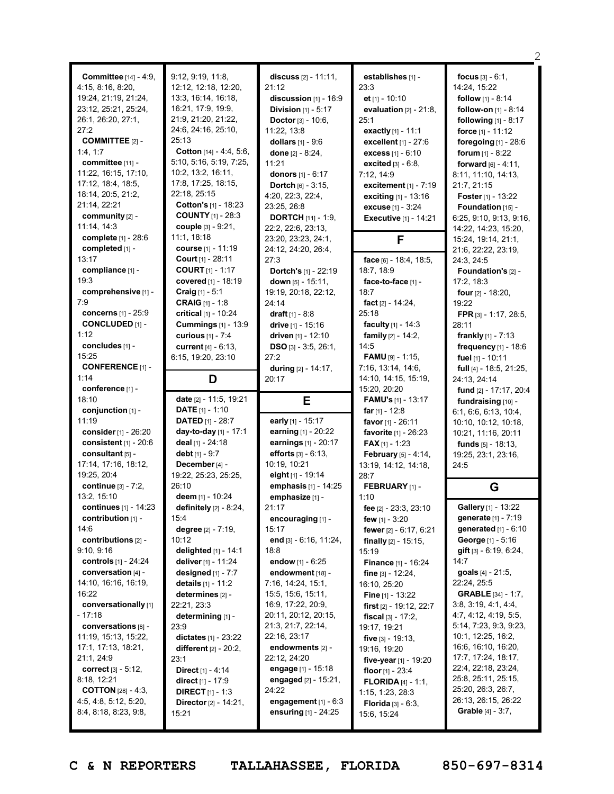| <b>Committee</b> [14] - 4:9,<br>4:15, 8:16, 8:20,<br>19:24, 21:19, 21:24,<br>23:12, 25:21, 25:24,<br>26:1, 26:20, 27:1,<br>27:2<br><b>COMMITTEE [2] -</b><br>1:4, 1:7<br>committee [11] -<br>11:22, 16:15, 17:10,<br>17:12, 18:4, 18:5,<br>18:14, 20:5, 21:2,<br>21:14, 22:21<br>community [2] -<br>11:14, 14:3 | 9:12, 9:19, 11:8,<br>12:12, 12:18, 12:20,<br>13:3, 16:14, 16:18,<br>16:21, 17:9, 19:9,<br>21:9, 21:20, 21:22,<br>24:6, 24:16, 25:10,<br>25:13<br>Cotton [14] - 4:4, 5:6,<br>5:10, 5:16, 5:19, 7:25,<br>10:2, 13:2, 16:11,<br>17:8, 17:25, 18:15,<br>22:18, 25:15<br>Cotton's [1] - 18:23<br><b>COUNTY</b> [1] - 28:3<br><b>couple</b> $[3] - 9:21$ , | discuss $[2] - 11:11$ ,<br>21:12<br>discussion $[1]$ - 16:9<br><b>Division</b> $[1] - 5:17$<br><b>Doctor</b> $[3] - 10:6$ ,<br>11:22, 13:8<br>dollars $[1] - 9:6$<br>done $[2] - 8:24$ ,<br>11:21<br>donors [1] - 6:17<br><b>Dortch</b> $[6] - 3:15$ ,<br>4:20, 22:3, 22:4,<br>23:25.26:8<br><b>DORTCH</b> $[11] - 1:9$<br>22:2, 22:6, 23:13, | establishes [1] -<br>23:3<br>et $[1] - 10:10$<br>evaluation $[2] - 21:8$ ,<br>25:1<br><b>exactly</b> $[1] - 11:1$<br>excellent [1] - 27:6<br><b>excess</b> $[1] - 6:10$<br><b>excited</b> $[3] - 6:8$ ,<br>7:12, 14:9<br>excitement $[1]$ - 7:19<br>exciting [1] - 13:16<br><b>excuse</b> $[1] - 3:24$<br><b>Executive</b> $[1] - 14:21$ | <b>focus</b> $[3] - 6:1$ ,<br>14:24, 15:22<br><b>follow</b> $[1] - 8:14$<br>follow-on [1] - 8:14<br>following [1] - 8:17<br>force $[1] - 11:12$<br>foregoing $[1]$ - 28:6<br>forum $[1] - 8:22$<br><b>forward</b> $[6] - 4:11$ ,<br>8:11, 11:10, 14:13,<br>21:7, 21:15<br><b>Foster</b> $[1] - 13:22$<br>Foundation [15] -<br>6:25, 9:10, 9:13, 9:16,<br>14:22, 14:23, 15:20, |
|-----------------------------------------------------------------------------------------------------------------------------------------------------------------------------------------------------------------------------------------------------------------------------------------------------------------|------------------------------------------------------------------------------------------------------------------------------------------------------------------------------------------------------------------------------------------------------------------------------------------------------------------------------------------------------|-----------------------------------------------------------------------------------------------------------------------------------------------------------------------------------------------------------------------------------------------------------------------------------------------------------------------------------------------|------------------------------------------------------------------------------------------------------------------------------------------------------------------------------------------------------------------------------------------------------------------------------------------------------------------------------------------|-------------------------------------------------------------------------------------------------------------------------------------------------------------------------------------------------------------------------------------------------------------------------------------------------------------------------------------------------------------------------------|
| <b>complete</b> $[1] - 28:6$<br>completed [1] -<br>13:17<br>compliance [1] -<br>19:3                                                                                                                                                                                                                            | 11:1, 18:18<br>course $[1] - 11:19$<br><b>Court</b> $[1] - 28:11$<br><b>COURT</b> $[1] - 1:17$<br>covered [1] - 18:19                                                                                                                                                                                                                                | 23:20, 23:23, 24:1,<br>24:12, 24:20, 26:4,<br>27:3<br>Dortch's [1] - 22:19<br>down $[5] - 15:11$ ,                                                                                                                                                                                                                                            | F<br>face [6] - 18:4, 18:5,<br>18:7, 18:9<br>face-to-face $[1]$ -                                                                                                                                                                                                                                                                        | 15:24, 19:14, 21:1,<br>21:6, 22:22, 23:19,<br>24:3, 24:5<br>Foundation's [2] -<br>17:2, 18:3                                                                                                                                                                                                                                                                                  |
| comprehensive [1] -<br>7:9<br>concerns [1] - 25:9<br><b>CONCLUDED</b> [1] -<br>1:12<br>concludes [1] -<br>15:25<br><b>CONFERENCE</b> [1] -                                                                                                                                                                      | <b>Craig</b> $[1] - 5:1$<br><b>CRAIG</b> $[1] - 1:8$<br>critical $[1] - 10:24$<br><b>Cummings</b> [1] - 13:9<br>curious [1] - 7:4<br>current $[4] - 6:13$ ,<br>6:15, 19:20, 23:10                                                                                                                                                                    | 19:19, 20:18, 22:12,<br>24:14<br>draft $[1] - 8:8$<br>drive [1] - 15:16<br>driven [1] - 12:10<br>$DSO$ [3] - 3:5, 26:1,<br>27:2                                                                                                                                                                                                               | 18:7<br>fact $[2] - 14:24$ ,<br>25:18<br>faculty [1] - 14:3<br>family [2] - 14:2,<br>14:5<br><b>FAMU</b> [9] - 1:15,                                                                                                                                                                                                                     | four [2] - 18:20,<br>19:22<br>FPR [3] - 1:17, 28:5,<br>28:11<br><b>frankly</b> $[1]$ - 7:13<br>frequency [1] - 18:6<br>fuel [1] - 10:11                                                                                                                                                                                                                                       |
| 1:14<br>conference [1] -<br>18:10                                                                                                                                                                                                                                                                               | D<br>date [2] - 11:5, 19:21                                                                                                                                                                                                                                                                                                                          | during [2] - 14:17,<br>20:17<br>E                                                                                                                                                                                                                                                                                                             | 7:16, 13:14, 14:6,<br>14:10, 14:15, 15:19,<br>15:20, 20:20<br><b>FAMU's</b> $[1]$ - 13:17                                                                                                                                                                                                                                                | full $[4] - 18:5, 21:25,$<br>24:13, 24:14<br>fund [2] - 17:17, 20:4<br>fundraising [10] -                                                                                                                                                                                                                                                                                     |
| conjunction [1] -                                                                                                                                                                                                                                                                                               |                                                                                                                                                                                                                                                                                                                                                      |                                                                                                                                                                                                                                                                                                                                               |                                                                                                                                                                                                                                                                                                                                          |                                                                                                                                                                                                                                                                                                                                                                               |
| 11:19<br>consider $[1] - 26:20$<br>consistent $[1]$ - 20:6<br>consultant [5] -<br>17:14, 17:16, 18:12,                                                                                                                                                                                                          | <b>DATE</b> $[1] - 1:10$<br><b>DATED</b> $[1] - 28:7$<br>day-to-day [1] - 17:1<br>deal [1] - 24:18<br>debt $[1] - 9:7$<br>December [4] -                                                                                                                                                                                                             | early [1] - 15:17<br>earning [1] - 20:22<br>earnings [1] - 20:17<br>efforts [3] - 6:13.<br>10:19, 10:21                                                                                                                                                                                                                                       | far <sub>[1]</sub> - 12:8<br>favor [1] - 26:11<br>favorite [1] - 26:23<br><b>FAX</b> $[1]$ - 1:23<br><b>February</b> $[5] - 4:14$ ,<br>13:19, 14:12, 14:18,                                                                                                                                                                              | 6:1, 6:6, 6:13, 10:4,<br>10:10, 10:12, 10:18,<br>10:21, 11:16, 20:11<br><b>funds</b> $[5] - 18:13$ ,<br>19:25, 23:1, 23:16,<br>24:5                                                                                                                                                                                                                                           |
| 19:25, 20:4<br>continue [3] - 7:2,<br>13:2, 15:10                                                                                                                                                                                                                                                               | 19:22, 25:23, 25:25,<br>26:10<br>deem [1] - 10:24                                                                                                                                                                                                                                                                                                    | eight $[1] - 19:14$<br>emphasis [1] - 14:25<br>emphasize [1] -                                                                                                                                                                                                                                                                                | 28:7<br>FEBRUARY [1] -<br>1:10                                                                                                                                                                                                                                                                                                           | G                                                                                                                                                                                                                                                                                                                                                                             |

2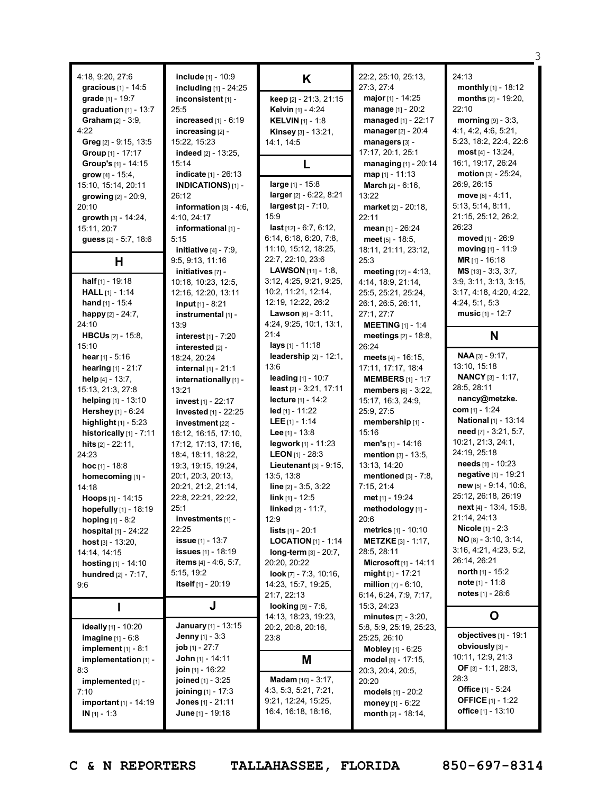|                                                  |                                             |                                |                                     | З                            |
|--------------------------------------------------|---------------------------------------------|--------------------------------|-------------------------------------|------------------------------|
|                                                  |                                             |                                |                                     | 24:13                        |
| 4:18, 9:20, 27:6<br><b>gracious</b> $[1] - 14:5$ | include [1] - 10:9                          | K                              | 22:2, 25:10, 25:13,<br>27:3, 27:4   | monthly [1] - 18:12          |
| grade [1] - 19:7                                 | including [1] - 24:25<br>inconsistent [1] - |                                | major [1] - 14:25                   | months $[2] - 19:20$ ,       |
| graduation $[1]$ - 13:7                          | 25:5                                        | keep [2] - 21:3, 21:15         | manage [1] - 20:2                   | 22:10                        |
| Graham [2] - 3:9,                                | increased $[1] - 6:19$                      | Kelvin [1] - 4:24              | managed [1] - 22:17                 | morning $[9] - 3:3$ ,        |
| 4:22                                             |                                             | <b>KELVIN</b> $[1] - 1:8$      |                                     | 4:1, 4:2, 4:6, 5:21,         |
|                                                  | increasing [2] -                            | Kinsey [3] - 13:21,            | <b>manager</b> $[2] - 20:4$         | 5:23, 18:2, 22:4, 22:6       |
| Greg [2] - 9:15, 13:5                            | 15:22, 15:23<br>indeed [2] - 13:25.         | 14:1, 14:5                     | managers [3] -<br>17:17, 20:1, 25:1 | $most [4] - 13:24,$          |
| Group [1] - 17:17                                |                                             |                                |                                     | 16:1, 19:17, 26:24           |
| Group's [1] - 14:15                              | 15:14<br>indicate [1] - 26:13               | L                              | managing [1] - 20:14                | motion [3] - 25:24,          |
| grow $[4] - 15:4$ ,                              |                                             | large [1] - 15:8               | map [1] - 11:13                     | 26:9, 26:15                  |
| 15:10, 15:14, 20:11                              | INDICATIONS)[1] -                           | larger [2] - 6:22, 8:21        | <b>March</b> $[2] - 6:16$ ,         | move $[8] - 4:11$ ,          |
| growing $[2] - 20:9$ ,                           | 26:12                                       | $largest [2] - 7:10,$          | 13:22                               | 5:13, 5:14, 8:11,            |
| 20:10                                            | information $[3] - 4:6$ ,                   | 15:9                           | market [2] - 20:18,                 |                              |
| growth $[3] - 14:24$ ,                           | 4:10, 24:17                                 | <b>last</b> $[12] - 6:7, 6:12$ | 22:11                               | 21:15, 25:12, 26:2,<br>26:23 |
| 15:11, 20:7                                      | informational [1] -                         | 6:14, 6:18, 6:20, 7:8,         | mean $[1] - 26:24$                  | moved [1] - 26:9             |
| guess [2] - 5:7, 18:6                            | 5:15                                        | 11:10, 15:12, 18:25,           | meet $[5] - 18:5$ ,                 |                              |
|                                                  | initiative $[4] - 7:9$ ,                    |                                | 18:11, 21:11, 23:12,                | moving $[1] - 11:9$          |
| H                                                | 9:5, 9:13, 11:16                            | 22:7, 22:10, 23:6              | 25:3                                | <b>MR</b> $[1]$ - 16:18      |
|                                                  | initiatives [7] -                           | <b>LAWSON</b> $[11] - 1:8$     | meeting [12] - 4:13.                | $MS$ [13] - 3:3, 3:7,        |
| half $[1]$ - 19:18                               | 10:18, 10:23, 12:5,                         | 3:12, 4:25, 9:21, 9:25,        | 4:14, 18:9, 21:14,                  | 3:9, 3:11, 3:13, 3:15,       |
| <b>HALL</b> $[1] - 1:14$                         | 12:16, 12:20, 13:11                         | 10:2, 11:21, 12:14,            | 25:5, 25:21, 25:24,                 | 3:17, 4:18, 4:20, 4:22,      |
| hand $[1]$ - 15:4                                | <b>input</b> $[1] - 8:21$                   | 12:19, 12:22, 26:2             | 26:1, 26:5, 26:11,                  | 4:24, 5:1, 5:3               |
| happy [2] - 24:7,                                | instrumental [1] -                          | Lawson [6] - 3:11,             | 27:1, 27:7                          | music $[1] - 12:7$           |
| 24:10                                            | 13:9                                        | 4:24, 9:25, 10:1, 13:1,        | <b>MEETING</b> $[1] - 1:4$          |                              |
| <b>HBCUs</b> $[2] - 15:8$                        | interest $[1] - 7:20$                       | 21:4                           | meetings [2] - 18:8,                | N                            |
| 15:10                                            | interested [2] -                            | lays [1] - 11:18               | 26:24                               |                              |
| hear $[1] - 5:16$                                | 18:24, 20:24                                | leadership $[2] - 12:1$ ,      | meets $[4] - 16:15$ ,               | $NAA [3] - 9:17,$            |
| hearing [1] - 21:7                               | internal $[1] - 21:1$                       | 13:6                           | 17:11, 17:17, 18:4                  | 13:10, 15:18                 |
| help $[4] - 13:7,$                               | internationally [1] -                       | leading [1] - 10:7             | <b>MEMBERS</b> [1] - 1:7            | <b>NANCY</b> [3] - 1:17,     |
| 15:13, 21:3, 27:8                                | 13:21                                       | least [2] - 3:21, 17:11        | members [6] - 3:22,                 | 28:5, 28:11                  |
|                                                  |                                             |                                |                                     |                              |
| helping [1] - 13:10                              | invest [1] - 22:17                          | lecture [1] - 14:2             | 15:17, 16:3, 24:9,                  | nancy@metzke.                |
| Hershey [1] - 6:24                               | invested [1] - 22:25                        | $led$ [1] - 11:22              | 25:9, 27:5                          | com $[1] - 1:24$             |
| highlight $[1]$ - 5:23                           | investment [22] -                           | <b>LEE</b> $[1] - 1:14$        | membership [1] -                    | National [1] - 13:14         |
| historically $[1]$ - 7:11                        | 16:12, 16:15, 17:10,                        | Lee $[1] - 13.8$               | 15:16                               | need [7] - 3:21, 5:7,        |
| hits [2] - 22:11.                                | 17:12, 17:13, 17:16,                        | legwork $[1]$ - 11:23          | men's $[1] - 14:16$                 | 10:21, 21:3, 24:1,           |
| 24:23                                            | 18:4, 18:11, 18:22,                         | <b>LEON</b> $[1]$ - 28:3       | mention [3] - 13:5.                 | 24:19, 25:18                 |
| <b>hoc</b> [1] - 18:8                            | 19:3, 19:15, 19:24,                         | Lieutenant $[3] - 9:15$ ,      | 13:13, 14:20                        | needs [1] - 10:23            |
| homecoming [1] -                                 | 20:1, 20:3, 20:13,                          | 13:5, 13:8                     | mentioned $[3] - 7:8$ ,             | negative [1] - 19:21         |
| 14:18                                            | 20:21, 21:2, 21:14,                         | line [2] - 3:5, 3:22           | 7:15, 21:4                          | $new$ [5] - 9:14, 10:6,      |
| Hoops [1] - 14:15                                | 22:8, 22:21, 22:22,                         | $link_{[1]} - 12:5$            | met [1] - 19:24                     | 25:12, 26:18, 26:19          |
| hopefully [1] - 18:19                            | 25:1                                        | <b>linked</b> $[2] - 11:7$ ,   | methodology [1] -                   | next [4] - 13:4, 15:8,       |
| hoping [1] - 8:2                                 | investments [1] -                           | 12:9                           | 20:6                                | 21:14, 24:13                 |
| hospital [1] - 24:22                             | 22:25                                       | <b>lists</b> $[1] - 20:1$      | metrics [1] - 10:10                 | <b>Nicole</b> $[1] - 2:3$    |
| host $[3] - 13:20$ ,                             | <b>issue</b> $[1] - 13:7$                   | <b>LOCATION</b> $[1]$ - 1:14   | <b>METZKE</b> $[3] - 1:17$ ,        | $NO$ [8] - 3:10, 3:14,       |
| 14:14, 14:15                                     | <b>issues</b> [1] - 18:19                   | long-term [3] - 20:7,          | 28:5, 28:11                         | 3:16, 4:21, 4:23, 5:2,       |
| hosting $[1] - 14:10$                            | <b>items</b> $[4] - 4:6, 5:7,$              | 20:20, 20:22                   | Microsoft [1] - 14:11               | 26:14, 26:21                 |
|                                                  | 5:15, 19:2                                  | look $[7] - 7:3, 10:16,$       | $might[1] - 17:21$                  | north $[1] - 15:2$           |
| hundred [2] - 7:17,<br>9:6                       | itself [1] - 20:19                          | 14:23, 15:7, 19:25,            | <b>million</b> $[7] - 6:10$ ,       | <b>note</b> $[1] - 11:8$     |
|                                                  |                                             | 21:7, 22:13                    | 6:14, 6:24, 7:9, 7:17,              | <b>notes</b> $[1] - 28:6$    |
| п                                                | J                                           | looking [9] - 7:6,             | 15:3, 24:23                         |                              |
|                                                  |                                             | 14:13, 18:23, 19:23,           | minutes $[7] - 3:20$ ,              | O                            |
| ideally [1] - 10:20                              | <b>January</b> [1] - 13:15                  | 20:2, 20:8, 20:16,             | 5:8, 5:9, 25:19, 25:23,             |                              |
| imagine [1] - 6:8                                | <b>Jenny</b> $[1] - 3:3$                    | 23:8                           | 25:25, 26:10                        | objectives [1] - 19:1        |
| implement $[1]$ - 8:1                            | <b>job</b> $[1] - 27:7$                     |                                | <b>Mobley</b> $[1]$ - $6:25$        | obviously [3] -              |
| implementation [1] -                             | <b>John</b> [1] - 14:11                     |                                | model [6] - 17:15,                  | 10:11, 12:9, 21:3            |
| 8:3                                              | join [1] - 16:22                            | M                              | 20:3, 20:4, 20:5,                   | OF [3] - 1:1, 28:3,          |
| implemented [1] -                                | <b>joined</b> [1] - 3:25                    | Madam [16] - 3:17,             | 20:20                               | 28:3                         |
| 7:10                                             | joining [1] - 17:3                          | 4:3, 5:3, 5:21, 7:21,          | models [1] - 20:2                   | <b>Office</b> $[1] - 5:24$   |
| important [1] - 14:19                            | <b>Jones</b> $[1] - 21:11$                  | 9:21, 12:24, 15:25,            | money $[1] - 6:22$                  | <b>OFFICE</b> [1] - 1:22     |
| $IN [1] - 1:3$                                   | <b>June</b> [1] - 19:18                     | 16:4, 16:18, 18:16,            | month $[2] - 18:14$ ,               | <b>office</b> $[1] - 13:10$  |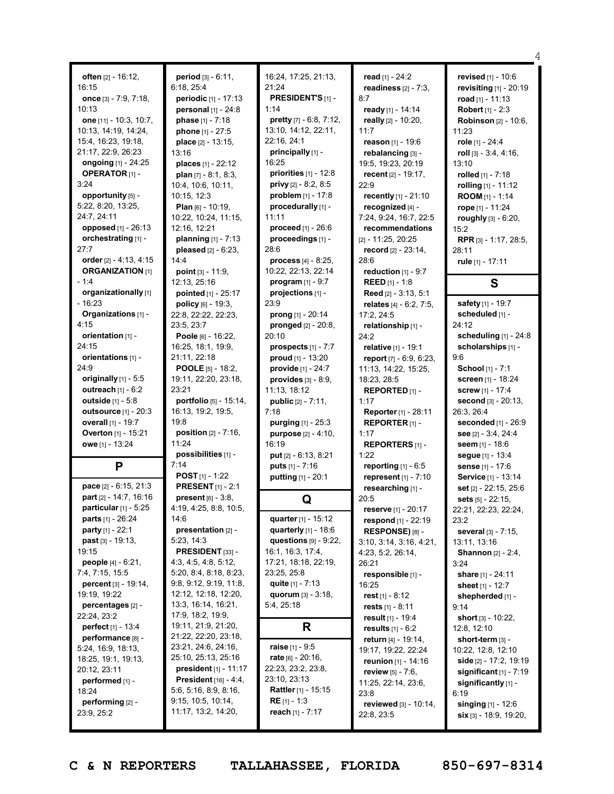|                                                         |                                           |                                               |                                           | 4                                                 |
|---------------------------------------------------------|-------------------------------------------|-----------------------------------------------|-------------------------------------------|---------------------------------------------------|
|                                                         |                                           |                                               |                                           |                                                   |
| often $[2] - 16:12$ ,                                   | period [3] - 6:11,                        | 16:24, 17:25, 21:13,<br>21:24                 | read $[1] - 24:2$                         | revised [1] - 10:6                                |
| 16:15                                                   | 6:18, 25:4                                |                                               | readiness $[2] - 7:3$ ,                   | revisiting [1] - 20:19                            |
| once [3] - 7:9, 7:18,                                   | periodic [1] - 17:13                      | <b>PRESIDENT'S [1] -</b>                      | 8:7                                       | road $[1] - 11:13$                                |
| 10:13                                                   | personal [1] - 24:8                       | 1:14                                          | ready [1] - 14:14                         | <b>Robert</b> $[1] - 2:3$                         |
| one [11] - 10:3, 10:7,                                  | phase [1] - 7:18                          | pretty [7] - 6:8, 7:12,                       | really [2] - 10:20,                       | <b>Robinson</b> [2] - 10:6,                       |
| 10:13, 14:19, 14:24,                                    | phone [1] - 27:5                          | 13:10, 14:12, 22:11,                          | 11:7                                      | 11:23                                             |
| 15:4, 16:23, 19:18,<br>21:17, 22:9, 26:23               | place [2] - 13:15,                        | 22:16, 24:1                                   | reason [1] - 19:6                         | role [1] - 24:4                                   |
|                                                         | 13:16                                     | principally [1] -<br>16:25                    | rebalancing [3] -                         | roll [3] - 3:4, 4:16,                             |
| <b>ongoing</b> [1] - 24:25<br><b>OPERATOR</b> [1] -     | places [1] - 22:12                        | priorities $[1]$ - 12:8                       | 19:5, 19:23, 20:19                        | 13:10                                             |
| 3:24                                                    | plan $[7] - 8:1, 8:3,$                    | privy [2] - 8:2, 8:5                          | recent [2] - 19:17,                       | rolled $[1] - 7:18$                               |
| opportunity [5] -                                       | 10:4, 10:6, 10:11,<br>10:15, 12:3         | problem [1] - 17:8                            | 22:9<br>recently [1] - 21:10              | rolling [1] - 11:12                               |
| 5:22, 8:20, 13:25,                                      |                                           | procedurally [1] -                            |                                           | ROOM [1] - 1:14                                   |
| 24:7, 24:11                                             | Plan [6] - 10:19,<br>10:22, 10:24, 11:15, | 11:11                                         | recognized [4] -                          | rope [1] - 11:24                                  |
| opposed [1] - 26:13                                     | 12:16, 12:21                              | proceed [1] - 26:6                            | 7:24, 9:24, 16:7, 22:5<br>recommendations | roughly [3] - 6:20,                               |
| orchestrating [1] -                                     | planning [1] - 7:13                       | proceedings [1] -                             | $[2] - 11:25, 20:25$                      | 15:2                                              |
| 27:7                                                    | pleased [2] - 6:23,                       | 28:6                                          | record [2] - 23:14,                       | RPR [3] - 1:17, 28:5,                             |
| order [2] - 4:13, 4:15                                  | 14:4                                      | process $[4] - 8:25$ ,                        | 28:6                                      | 28:11                                             |
| <b>ORGANIZATION [1]</b>                                 | point $[3] - 11:9$ ,                      | 10:22, 22:13, 22:14                           | reduction $[1] - 9:7$                     | rule [1] - 17:11                                  |
| $-1:4$                                                  | 12:13, 25:16                              | program $[1] - 9:7$                           | <b>REED</b> [1] - 1:8                     |                                                   |
| organizationally [1]                                    | pointed [1] - 25:17                       | projections [1] -                             | Reed [2] - 3:13, 5:1                      | S                                                 |
| $-16:23$                                                | policy $[6] - 19:3$ ,                     | 23:9                                          | relates $[4] - 6:2, 7:5,$                 | safety [1] - 19:7                                 |
| Organizations [1] -                                     | 22:8, 22:22, 22:23,                       | prong [1] - 20:14                             | 17:2, 24:5                                | scheduled [1] -                                   |
| 4:15                                                    | 23:5, 23:7                                | pronged [2] - 20:8,                           | relationship [1] -                        | 24:12                                             |
| orientation $[1]$ -                                     | Poole [6] - 16:22,                        | 20:10                                         | 24:2                                      | scheduling $[1] - 24:8$                           |
| 24:15                                                   | 16:25, 18:1, 19:9,                        | prospects $[1] - 7:7$                         | relative [1] - 19:1                       | scholarships [1] -                                |
| orientations [1] -                                      | 21:11, 22:18                              | proud [1] - 13:20                             | report [7] - 6:9, 6:23,                   | 9:6                                               |
| 24:9                                                    | <b>POOLE</b> $[5]$ - 18:2,                | provide [1] - 24:7                            | 11:13, 14:22, 15:25,                      | School [1] - 7:1                                  |
| originally [1] - 5:5                                    | 19:11, 22:20, 23:18,                      | <b>provides</b> $[3] - 8:9$ ,                 | 18:23, 28:5                               | screen [1] - 18:24                                |
| outreach [1] - 6:2                                      | 23:21                                     | 11:13, 18:12                                  | REPORTED <sub>[1]</sub> -                 | <b>screw</b> [1] - 17:4                           |
|                                                         |                                           |                                               |                                           |                                                   |
|                                                         |                                           |                                               |                                           |                                                   |
| outside [1] - 5:8                                       | portfolio [5] - 15:14,                    | public [2] - 7:11,                            | 1:17                                      | second [3] - 20:13,                               |
| outsource [1] - 20:3                                    | 16:13, 19:2, 19:5,                        | 7:18                                          | Reporter [1] - 28:11                      | 26:3, 26:4                                        |
| overall [1] - 19:7                                      | 19:8                                      | purging [1] - 25:3                            | REPORTER $[1]$ -                          | seconded [1] - 26:9                               |
| Overton [1] - 15:21                                     | <b>position</b> $[2] - 7:16$ ,            | purpose [2] - 4:10,                           | 1:17                                      | see [2] - 3:4, 24:4                               |
| owe [1] - 13:24                                         | 11:24                                     | 16:19                                         | <b>REPORTERS [1] -</b>                    | seem $[1] - 18:6$                                 |
|                                                         | possibilities [1] -                       | put [2] - 6:13, 8:21                          | 1:22                                      | seque [1] - 13:4                                  |
| P                                                       | 7:14                                      | <b>puts</b> $[1] - 7:16$                      | reporting $[1] - 6.5$                     | sense [1] - 17:6                                  |
|                                                         | <b>POST</b> $[1]$ - 1:22                  | putting [1] - 20:1                            | represent [1] - 7:10                      | Service [1] - 13:14                               |
| pace [2] - 6:15, 21:3                                   | <b>PRESENT</b> [1] - 2:1                  |                                               | researching [1] -                         | set [2] - 22:15, 25:6                             |
| part [2] - 14:7, 16:16                                  | <b>present</b> $[6] - 3:8$ ,              | Q                                             | 20:5                                      | sets [5] - 22:15,                                 |
| particular $[1]$ - 5:25                                 | 4:19, 4:25, 8:8, 10:5,<br>14:6            |                                               | reserve [1] - 20:17                       | 22:21, 22:23, 22:24,                              |
| <b>parts</b> $[1] - 26:24$<br><b>party</b> $[1] - 22:1$ | presentation [2] -                        | quarter [1] - 15:12<br>quarterly $[1] - 18:6$ | respond [1] - 22:19                       | 23:2                                              |
| <b>past</b> $[3] - 19:13$ ,                             | 5:23, 14:3                                |                                               | RESPONSE) [8] -                           | several [3] - 7:15,                               |
| 19:15                                                   | <b>PRESIDENT</b> [33] $-$                 | questions [9] - 9:22,<br>16:1, 16:3, 17:4,    | 3:10, 3:14, 3:16, 4:21,                   | 13:11, 13:16                                      |
| <b>people</b> $[4] - 6:21$ ,                            | 4:3, 4:5, 4:8, 5:12,                      | 17:21, 18:18, 22:19,                          | 4:23, 5:2, 26:14,                         | <b>Shannon</b> [2] - 2:4,                         |
| 7:4, 7:15, 15:5                                         | 5:20, 8:4, 8:18, 8:23,                    | 23:25, 25:8                                   | 26:21                                     | 3:24                                              |
| <b>percent</b> $[3] - 19:14$ ,                          | 9:8, 9:12, 9:19, 11:8,                    | quite $[1] - 7:13$                            | responsible [1] -<br>16:25                | share [1] - 24:11                                 |
| 19:19, 19:22                                            | 12:12, 12:18, 12:20,                      | quorum $[3] - 3:18$ ,                         | rest $[1] - 8:12$                         | sheet $[1] - 12:7$                                |
| percentages [2] -                                       | 13:3, 16:14, 16:21,                       | 5:4, 25:18                                    | rests $[1] - 8:11$                        | shepherded [1] -<br>9:14                          |
| 22:24, 23:2                                             | 17:9, 18:2, 19:9,                         |                                               | result $[1]$ - 19:4                       | short $[3] - 10:22$ ,                             |
| <b>perfect</b> $[1] - 13:4$                             | 19:11, 21:9, 21:20,                       | R                                             | <b>results</b> $[1] - 6:2$                | 12:8, 12:10                                       |
| performance [8] -                                       | 21:22, 22:20, 23:18,                      |                                               | return $[4]$ - 19:14,                     | short-term [3] -                                  |
| 5:24, 16:9, 18:13,                                      | 23:21, 24:6, 24:16,                       | <b>raise</b> [1] - 9:5                        | 19:17, 19:22, 22:24                       | 10:22, 12:8, 12:10                                |
| 18:25, 19:1, 19:13,                                     | 25:10, 25:13, 25:16                       | rate $[6] - 20:16$ ,                          | reunion [1] - 14:16                       | side [2] - 17:2, 19:19                            |
| 20:12, 23:11                                            | <b>president</b> $[1] - 11:17$            | 22:23, 23:2, 23:8,                            | <b>review</b> $[5] - 7:6$ ,               | significant $[1]$ - 7:19                          |
| performed [1] -                                         | <b>President</b> $[16] - 4:4$ ,           | 23:10, 23:13                                  | 11:25, 22:14, 23:6,                       | significantly $[1]$ -                             |
| 18:24                                                   | 5:6, 5:16, 8:9, 8:16,                     | <b>Rattler</b> [1] - 15:15                    | 23:8                                      | 6:19                                              |
| performing [2] -<br>23:9, 25:2                          | 9:15, 10:5, 10:14,<br>11:17, 13:2, 14:20, | <b>RE</b> [1] - 1:3<br>reach [1] - 7:17       | reviewed [3] - 10:14,<br>22:8, 23:5       | singing $[1] - 12.6$<br>$\sin$ [3] - 18:9, 19:20, |

 $\overline{\phantom{a}}$